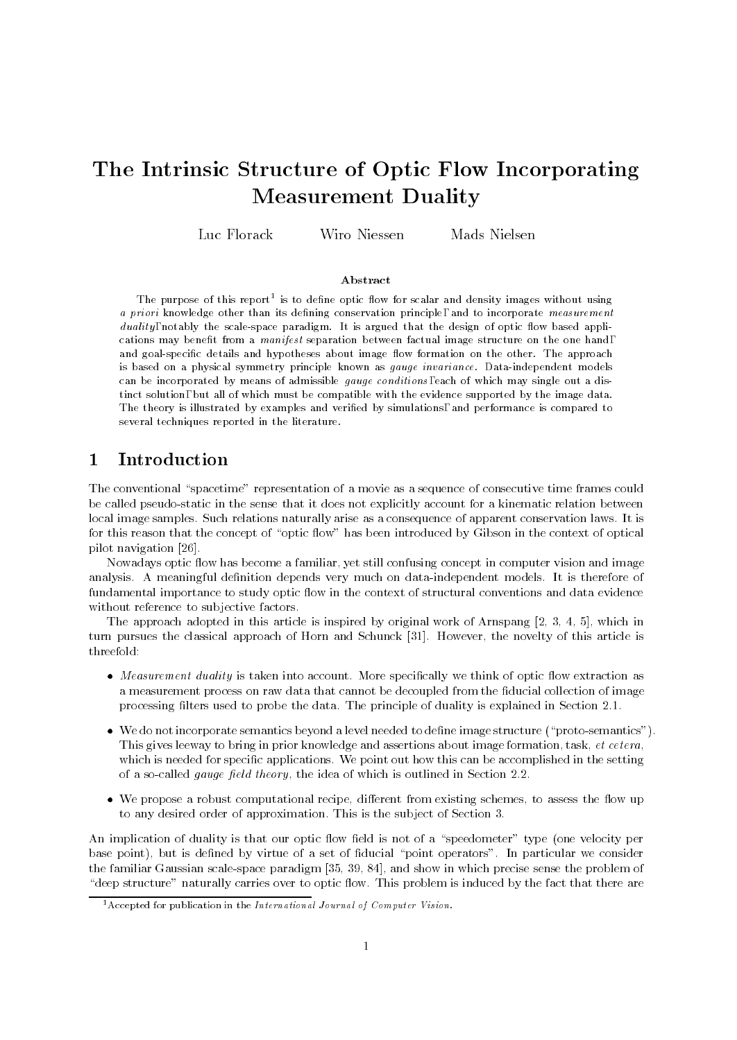# The Intrinsic Structure of Optic Flow IncorporatingMeasurement Duality

Luc Florack Wiro Niessen Mads Nielsen

#### Abstract

The purpose of this report<sup>+</sup> is to define optic flow for scalar and density images without using a priori knowledge other than its defining conservation principle, and to incorporate measurement duality, notably the scale-space paradigm. It is argued that the design of optic flow based applications may benefit from a manifest separation between factual image structure on the one hand, and goal-specific details and hypotheses about image flow formation on the other. The approach is based on a physical symmetry principle known as gauge invariance. Data-independent models can be incorporated by means of admissible *gauge conditions*, each of which may single out a distinct solution, but all of which must be compatible with the evidence supported by the image data. The theory is illustrated by examples and veried by simulations, and performance is compared to several techniques reported in the literature.

# 1 Introduction

The conventional "spacetime" representation of a movie as a sequence of consecutive time frames could be called pseudo-static in the sense that it does not explicitly account for a kinematic relation between local image samples. Such relations naturally arise as a consequence of apparent conservation laws. It is for this reason that the concept of "optic flow" has been introduced by Gibson in the context of optical pilot navigation [26].

Nowadays optic flow has become a familiar, yet still confusing concept in computer vision and image analysis. A meaningful definition depends very much on data-independent models. It is therefore of fundamental importance to study optic flow in the context of structural conventions and data evidence without reference to subjective factors.

The approach adopted in this article is inspired by original work of Arnspang [2, 3, 4, 5], which in turn pursues the classical approach of Horn and Schunck [31]. However, the novelty of this article is threefold:

- $\bullet$  *Measurement duality* is taken into account. More specifically we think of optic flow extraction as a measurement process on raw data that cannot be decoupled from the fiducial collection of image processing lters used to probe the data. The principle of duality is explained in Section 2.1.
- $\bullet$  We do not incorporate semantics beyond a level needed to define image structure ("proto-semantics"). This gives leeway to bring in prior knowledge and assertions about image formation, task, et cetera, which is needed for specific applications. We point out how this can be accomplished in the setting of a so-called *gauge field theory*, the idea of which is outlined in Section 2.2.
- We propose a robust computational recipe, different from existing schemes, to assess the flow up to any desired order of approximation. This is the subject of Section 3.

An implication of duality is that our optic flow field is not of a "speedometer" type (one velocity per base point), but is defined by virtue of a set of fiducial "point operators". In particular we consider the familiar Gaussian scale-space paradigm [35, 39, 84], and show in which precise sense the problem of "deep structure" naturally carries over to optic flow. This problem is induced by the fact that there are

 $<sup>1</sup>$  Accepted for publication in the International Journal of Computer Vision.</sup>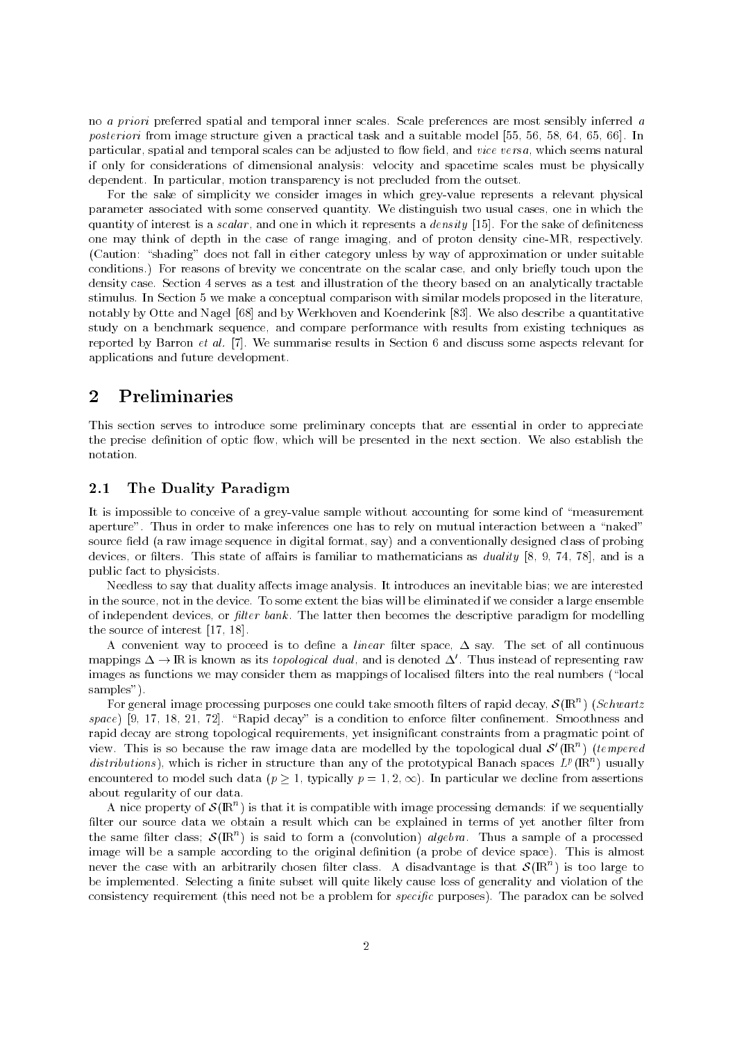no *a priori* preferred spatial and temporal inner scales. Scale preferences are most sensibly inferred *a* posteriori from image structure given a practical task and a suitable model [55, 56, 58, 64, 65, 66]. In particular, spatial and temporal scales can be adjusted to flow field, and vice versa, which seems natural if only for considerations of dimensional analysis: velocity and spacetime scales must be physically dependent. In particular, motion transparency is not precluded from the outset.

For the sake of simplicity we consider images in which grey-value represents a relevant physical parameter associated with some conserved quantity. We distinguish two usual cases, one in which the quantity of interest is a *scalar*, and one in which it represents a *density* [15]. For the sake of definiteness one may think of depth in the case of range imaging, and of proton density cine-MR, respectively. (Caution: "shading" does not fall in either category unless by way of approximation or under suitable conditions.) For reasons of brevity we concentrate on the scalar case, and only briefly touch upon the density case. Section 4 serves as a test and illustration of the theory based on an analytically tractable stimulus. In Section 5 we make a conceptual comparison with similar models proposed in the literature, notably by Otte and Nagel [68] and by Werkhoven and Koenderink [83]. We also describe a quantitative study on a benchmark sequence, and compare performance with results from existing techniques as reported by Barron et al. [7]. We summarise results in Section 6 and discuss some aspects relevant for applications and future development.

# 2 Preliminaries

This section serves to introduce some preliminary concepts that are essential in order to appreciate the precise definition of optic flow, which will be presented in the next section. We also establish the notation.

#### 2.1 The Duality Paradigm

It is impossible to conceive of a grey-value sample without accounting for some kind of "measurement" aperture". Thus in order to make inferences one has to rely on mutual interaction between a "naked" source field (a raw image sequence in digital format, say) and a conventionally designed class of probing devices, or filters. This state of affairs is familiar to mathematicians as *duality*  $[8, 9, 74, 78]$ , and is a public fact to physicists.

Needless to say that duality affects image analysis. It introduces an inevitable bias; we are interested in the source, not in the device. To some extent the bias will be eliminated if we consider a large ensemble of independent devices, or *filter bank*. The latter then becomes the descriptive paradigm for modelling the source of interest [17, 18].

A convenient way to proceed is to define a *linear* filter space,  $\Delta$  say. The set of all continuous mappings  $\Delta \to \mathbb{R}$  is known as its topological dual, and is denoted  $\Delta'$ . Thus instead of representing raw images as functions we may consider them as mappings of localised filters into the real numbers ("local samples").

For general image processing purposes one could take smooth filters of rapid decay,  $\mathcal{S}(\mathbb{R}^n)$  (Schwartz  $space)$  [9, 17, 18, 21, 72]. "Rapid decay" is a condition to enforce filter confinement. Smoothness and rapid decay are strong topological requirements, yet insignificant constraints from a pragmatic point of view. This is so because the raw image data are modelled by the topological dual  $\mathcal{S}(\mathbb{R}^n)$  (*tempered*  $$ distributions), which is richer in structure than any of the prototypical Banach spaces  $L^p(\mathbb{R}^+)$  usually encountered to model such data  $(p \geq 1,$  typically  $p = 1, 2, \infty)$ . In particular we decline from assertions about regularity of our data.

A nice property of  $\mathcal{S}(\mathbb{R}^n)$  is that it is compatible with image processing demands: if we sequentially filter our source data we obtain a result which can be explained in terms of yet another filter from the same filter class;  $\mathcal{S}(\mathbb{R}^n)$  is said to form a (convolution) *algebra.* Thus a sample of a processed image will be a sample according to the original definition (a probe of device space). This is almost never the case with an arbitrarily chosen filter class. A disadvantage is that  $\mathcal{S}(\mathbb{R}^n)$  is too large to be implemented. Selecting a finite subset will quite likely cause loss of generality and violation of the consistency requirement (this need not be a problem for *specific* purposes). The paradox can be solved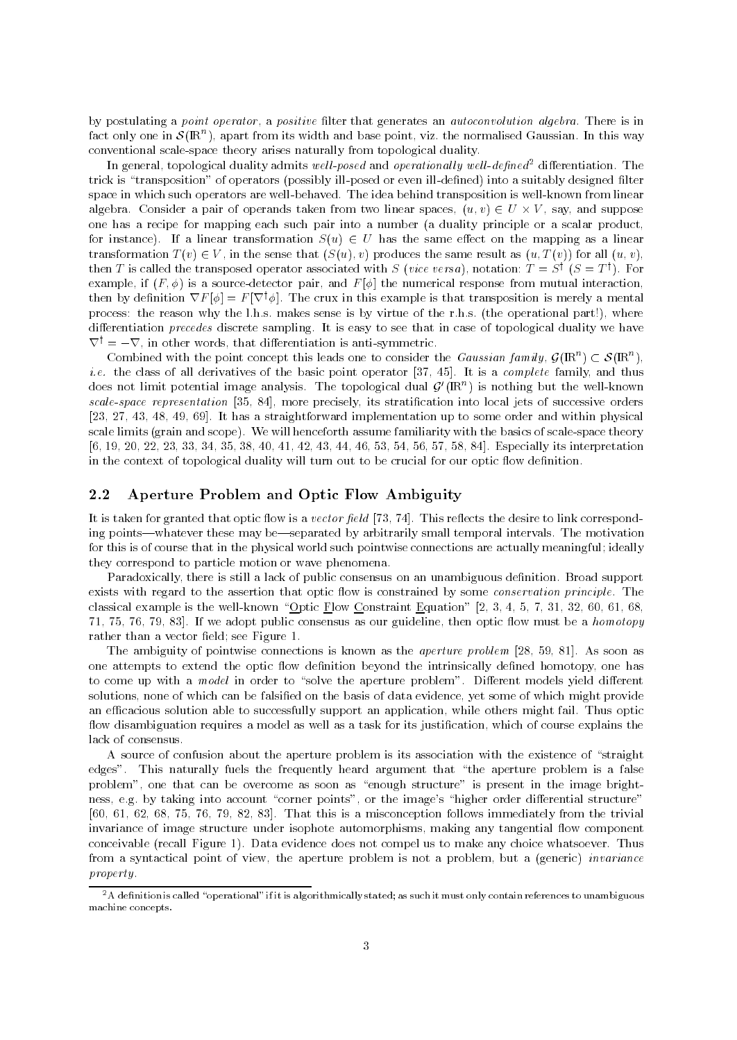by postulating a *point operator*, a *positive* filter that generates an *autoconvolution algebra*. There is in fact only one in  $\mathcal{S}(\mathbb{R}^n)$ , apart from its width and base point, viz. the normalised Gaussian. In this way conventional scale-space theory arises naturally from topological duality.

In general, topological duality admits well-posed and operationally well-defined<sup>2</sup> differentiation. The trick is "transposition" of operators (possibly ill-posed or even ill-defined) into a suitably designed filter space in which such operators are well-behaved. The idea behind transposition is well-known from linear algebra. Consider a pair of operations taken from two linear spaces, (u; v) 2 U - 2 U - 2 U - 2 U - 2 U - 2 U one has a recipe for mapping each such pair into a number (a duality principle or a scalar product, for instance). If a linear transformation  $S(u) \in U$  has the same effect on the mapping as a linear transformation  $T(v) \in V$ , in the sense that  $(S(u), v)$  produces the same result as  $(u, T(v))$  for all  $(u, v)$ , then T is called the transposed operator associated with S (*vice versa*), notation:  $T \equiv S^+(S \equiv T^+).$  For example, if  $(F, \phi)$  is a source-detector pair, and  $F[\phi]$  the numerical response from mutual interaction, then by definition  $\nabla F[\phi] = F[\nabla^{\dagger}\phi]$ . The crux in this example is that transposition is merely a mental process: the reason why the l.h.s. makes sense is by virtue of the r.h.s. (the operational part!), where differentiation *precedes* discrete sampling. It is easy to see that in case of topological duality we have  $\nabla^{\dagger} = -\nabla$ , in other words, that differentiation is anti-symmetric.

Combined with the point concept this leads one to consider the Gaussian family,  $\mathcal{G}(\mathbb{R}^n) \subset \mathcal{S}(\mathbb{R}^n)$ , *i.e.* the class of all derivatives of the basic point operator  $[37, 45]$ . It is a *complete* family, and thus does not limit potential image analysis. The topological dual  $\mathcal{G}\left(\mathbb{R}^n\right)$  is nothing but the well-known scale-space representation [35, 84], more precisely, its stratication into local jets of successive orders [23, 27, 43, 48, 49, 69]. It has a straightforward implementation up to some order and within physical scale limits (grain and scope). We will henceforth assume familiarity with the basics of scale-space theory [6, 19, 20, 22, 23, 33, 34, 35, 38, 40, 41, 42, 43, 44, 46, 53, 54, 56, 57, 58, 84]. Especially its interpretation in the context of topological duality will turn out to be crucial for our optic flow definition.

### 2.2 Aperture Problem and Optic Flow Ambiguity

It is taken for granted that optic flow is a vector field [73, 74]. This reflects the desire to link corresponding points—whatever these may be—separated by arbitrarily small temporal intervals. The motivation for this is of course that in the physical world such pointwise connections are actually meaningful; ideally they correspond to particle motion or wave phenomena.

Paradoxically, there is still a lack of public consensus on an unambiguous definition. Broad support exists with regard to the assertion that optic flow is constrained by some *conservation principle*. The classical example is the well-known "Optic Flow Constraint Equation"  $[2, 3, 4, 5, 7, 31, 32, 60, 61, 68,$ 71, 75, 76, 79, 83. If we adopt public consensus as our guideline, then optic flow must be a *homotopy* rather than a vector field; see Figure 1.

The ambiguity of pointwise connections is known as the aperture problem [28, 59, 81]. As soon as one attempts to extend the optic flow definition beyond the intrinsically defined homotopy, one has to come up with a model in order to "solve the aperture problem". Different models yield different solutions, none of which can be falsied on the basis of data evidence, yet some of which might provide an efficacious solution able to successfully support an application, while others might fail. Thus optic flow disambiguation requires a model as well as a task for its justification, which of course explains the lack of consensus.

A source of confusion about the aperture problem is its association with the existence of "straight" edges". This naturally fuels the frequently heard argument that "the aperture problem is a false problem", one that can be overcome as soon as "enough structure" is present in the image brightness, e.g. by taking into account "corner points", or the image's "higher order differential structure" [60, 61, 62, 68, 75, 76, 79, 82, 83]. That this is a misconception follows immediately from the trivial invariance of image structure under isophote automorphisms, making any tangential flow component conceivable (recall Figure 1). Data evidence does not compel us to make any choice whatsoever. Thus from a syntactical point of view, the aperture problem is not a problem, but a (generic) invariance property .

 $2\,$ A definition is called "operational" if it is algorithmically stated; as such it must only contain references to unambiguous machine concepts machine concepts. The concepts of the concepts of the concepts of the concepts of the concepts. The concepts of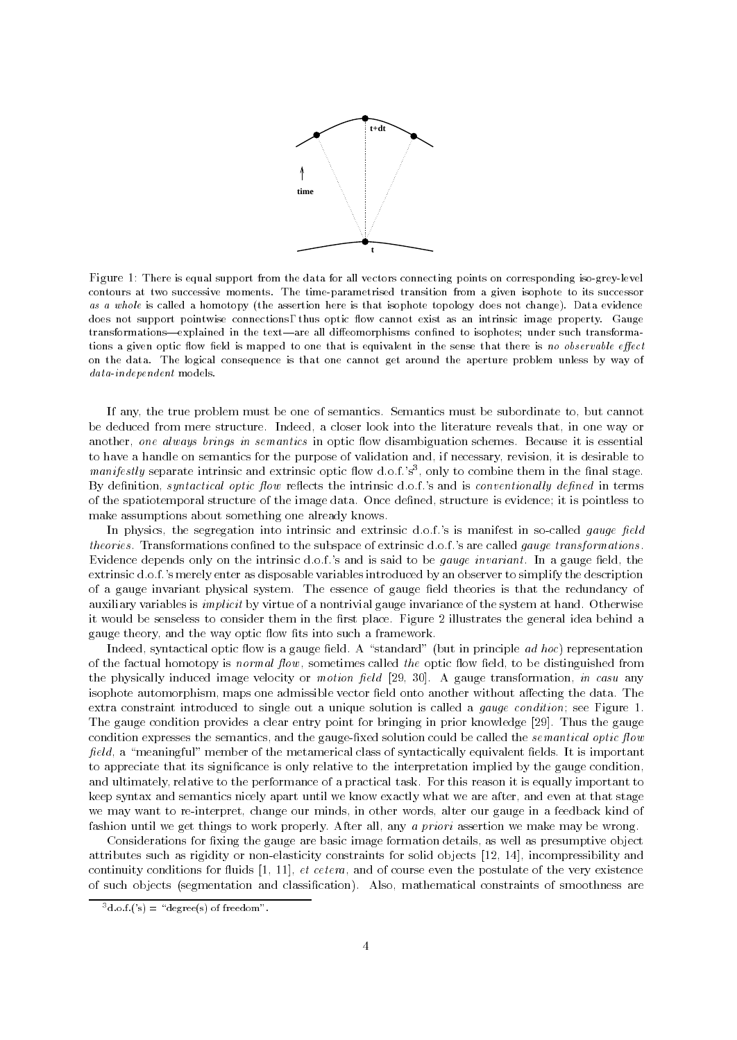

Figure 1: There is equal support from the data for all vectors connecting points on corresponding iso-grey-level contours at two successive moments. The time-parametrised transition from a given isophote to its successor as a whole is called a homotopy (the assertion here is that isophote topology does not change). Data evidence does not support pointwise connections, thus optic flow cannot exist as an intrinsic image property. Gauge transformations—explained in the text—are all diffeomorphisms confined to isophotes; under such transformations a given optic flow field is mapped to one that is equivalent in the sense that there is no observable effect on the data. The logical consequence is that one cannot get around the aperture problem unless by way of data-independent models.

If any, the true problem must be one of semantics. Semantics must be subordinate to, but cannot be deduced from mere structure. Indeed, a closer look into the literature reveals that, in one way or another, one always brings in semantics in optic flow disambiguation schemes. Because it is essential to have a handle on semantics for the purpose of validation and, if necessary, revision, it is desirable to manifestly separate intrinsic and extrinsic optic flow d.o.f.'s<sup>3</sup>, only to combine them in the final stage. By definition, syntactical optic flow reflects the intrinsic d.o.f.'s and is conventionally defined in terms of the spatiotemporal structure of the image data. Once dened, structure is evidence; it is pointless to make assumptions about something one already knows.

In physics, the segregation into intrinsic and extrinsic  $d.o.f.'s$  is manifest in so-called *gauge field theories*. Transformations confined to the subspace of extrinsic d.o.f.'s are called *gauge transformations*.<br>Evidence depends only on the intrinsic d.o.f.'s and is said to be *gauge invariant*. In a gauge field, the extrinsic d.o.f.'s merely enter as disposable variables introduced by an observer to simplify the description of a gauge invariant physical system. The essence of gauge field theories is that the redundancy of auxiliary variables is implicit by virtue of a nontrivial gauge invariance of the system at hand. Otherwise it would be senseless to consider them in the first place. Figure 2 illustrates the general idea behind a gauge theory, and the way optic flow fits into such a framework.

Indeed, syntactical optic flow is a gauge field. A "standard" (but in principle ad hoc) representation of the factual homotopy is *normal flow*, sometimes called the optic flow field, to be distinguished from the physically induced image velocity or *motion field* [29, 30]. A gauge transformation, in casu any isophote automorphism, maps one admissible vector field onto another without affecting the data. The extra constraint introduced to single out a unique solution is called a gauge condition; see Figure 1. The gauge condition provides a clear entry point for bringing in prior knowledge [29]. Thus the gauge condition expresses the semantics, and the gauge-fixed solution could be called the *semantical optic flow*  $field$ , a "meaningful" member of the metamerical class of syntactically equivalent fields. It is important to appreciate that its signicance is only relative to the interpretation implied by the gauge condition, and ultimately, relative to the performance of a practical task. For this reason it is equally important to keep syntax and semantics nicely apart until we know exactly what we are after, and even at that stage we may want to re-interpret, change our minds, in other words, alter our gauge in a feedback kind of fashion until we get things to work properly. After all, any a priori assertion we make may be wrong.

Considerations for fixing the gauge are basic image formation details, as well as presumptive object attributes such as rigidity or non-elasticity constraints for solid objects [12, 14], incompressibility and continuity conditions for fluids  $[1, 11]$ , et cetera, and of course even the postulate of the very existence of such objects (segmentation and classication). Also, mathematical constraints of smoothness are

 $3d.o.f.('s) = "degree(s) of freedom".$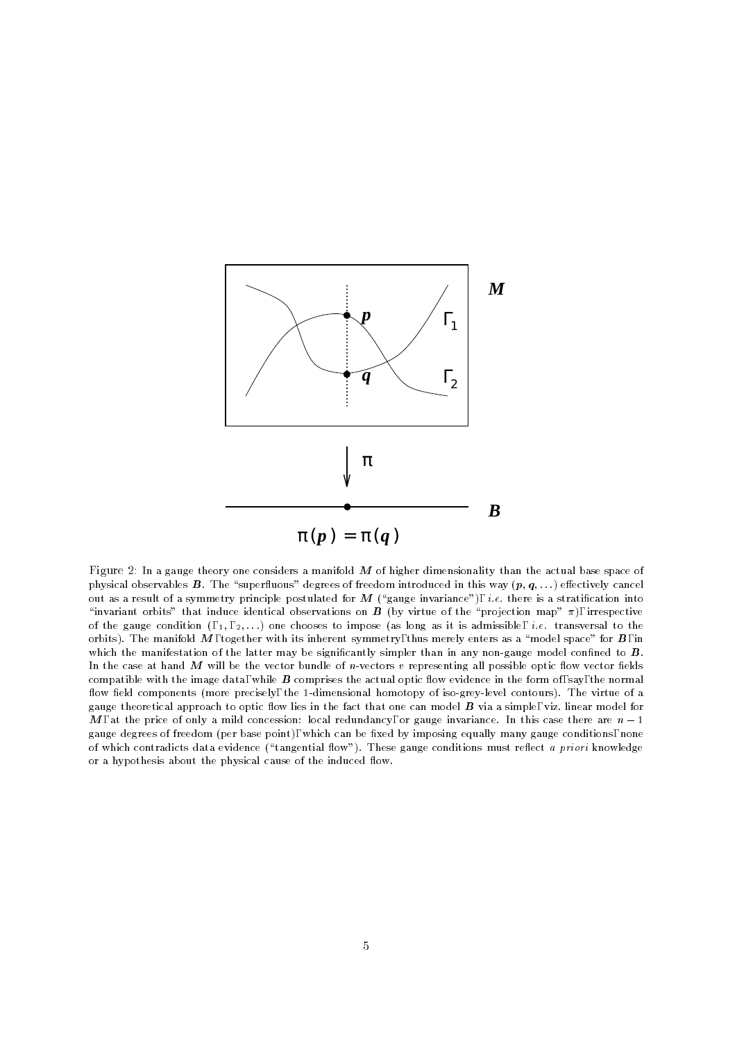

Figure 2: In a gauge theory one considers a manifold <sup>M</sup> of higher dimensionality than the actual base space of physical observables **B**. The "superfluous" degrees of freedom introduced in this way  $(p, q, \ldots)$  effectively cancel out as a result of a symmetry principle postulated for  $M$  ("gauge invariance"), i.e. there is a stratification into "invariant orbits" that induce identical observations on B (by virtue of the "projection map"  $\pi$ ), irrespective of the gauge condition  $(1, 1, 2, \ldots)$  one chooses to impose (as long as it is admissible, *i.e.* transversal to the orbits). The manifold  $M$ , together with its inherent symmetry, thus merely enters as a "model space" for  $B$ , in which the manifestation of the latter may be significantly simpler than in any non-gauge model confined to  $B$ . In the case at hand M will be the vector bundle of n-vectors  $v$  representing all possible optic flow vector fields compatible with the image data, while  $\bm{B}$  comprises the actual optic flow evidence in the form of, say, the normal flow field components (more precisely, the 1-dimensional homotopy of iso-grey-level contours). The virtue of a gauge theoretical approach to optic flow lies in the fact that one can model  $\bm{B}$  via a simple, viz. linear model for M, at the price of only a mild concession: local redundancy, or gauge invariance. In this case there are  $n-1$ gauge degrees of freedom (per base point), which can be fixed by imposing equally many gauge conditions, none of which contradicts data evidence ("tangential flow"). These gauge conditions must reflect a priori knowledge or a hypothesis about the physical cause of the induced flow.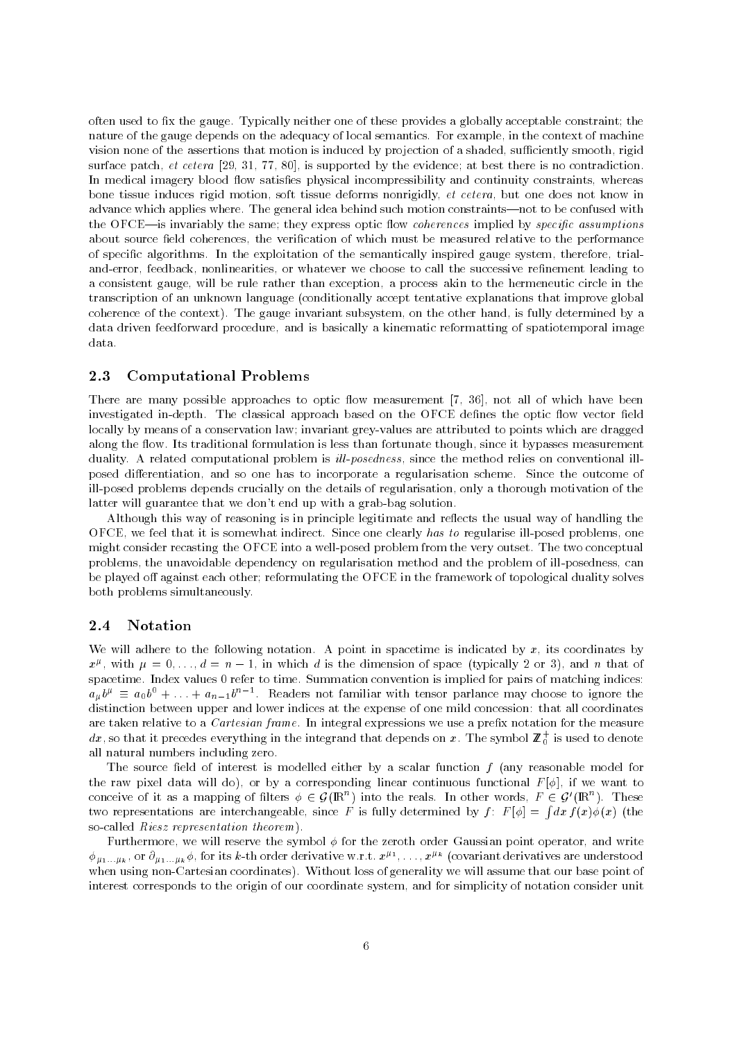often used to fix the gauge. Typically neither one of these provides a globally acceptable constraint; the nature of the gauge depends on the adequacy of local semantics. For example, in the context of machine vision none of the assertions that motion is induced by projection of a shaded, sufficiently smooth, rigid surface patch, et cetera [29, 31, 77, 80], is supported by the evidence; at best there is no contradiction. In medical imagery blood flow satisfies physical incompressibility and continuity constraints, whereas bone tissue induces rigid motion, soft tissue deforms nonrigidly, et cetera, but one does not know in advance which applies where. The general idea behind such motion constraints—not to be confused with the  $\text{OFCE}$  is invariably the same; they express optic flow *coherences* implied by *specific assumptions* about source field coherences, the verification of which must be measured relative to the performance of specic algorithms. In the exploitation of the semantically inspired gauge system, therefore, trialand-error, feedback, nonlinearities, or whatever we choose to call the successive refinement leading to a consistent gauge, will be rule rather than exception, a process akin to the hermeneutic circle in the transcription of an unknown language (conditionally accept tentative explanations that improve global coherence of the context). The gauge invariant subsystem, on the other hand, is fully determined by a data driven feedforward procedure, and is basically a kinematic reformatting of spatiotemporal image data.

### 2.3 Computational Problems

There are many possible approaches to optic flow measurement  $[7, 36]$ , not all of which have been investigated in-depth. The classical approach based on the OFCE defines the optic flow vector field locally by means of a conservation law; invariant grey-values are attributed to points which are dragged along the flow. Its traditional formulation is less than fortunate though, since it bypasses measurement duality. A related computational problem is *ill-posedness*, since the method relies on conventional illposed differentiation, and so one has to incorporate a regularisation scheme. Since the outcome of ill-posed problems depends crucially on the details of regularisation, only a thorough motivation of the latter will guarantee that we don't end up with a grab-bag solution.

Although this way of reasoning is in principle legitimate and reflects the usual way of handling the OFCE, we feel that it is somewhat indirect. Since one clearly has to regularise ill-posed problems, one might consider recasting the OFCE into a well-posed problem from the very outset. The two conceptual problems, the unavoidable dependency on regularisation method and the problem of ill-posedness, can be played off against each other; reformulating the OFCE in the framework of topological duality solves both problems simultaneously.

#### **Notation**  $2.4$

We will adhere to the following notation. A point in spacetime is indicated by  $x$ , its coordinates by  $x^r$ , with  $\mu = 0, \ldots, a = n - 1$ , in which d is the dimension of space (typically 2 or 5), and n that of spacetime. Index values 0 refer to time. Summation convention is implied for pairs of matching indices:  $a_\mu v^{\mu} = a_0 v^{\mu} + \ldots + a_{n-1} v^{n-1}$  . Readers not familiar with tensor parlance may choose to ignore the distinction between upper and lower indices at the expense of one mild concession: that all coordinates are taken relative to a *Cartesian frame*. In integral expressions we use a prefix notation for the measure  $dx$ , so that it precedes everything in the integrand that depends on  $x$  . The symbol  $\pmb{\mathbb{Z}}^+_0$  is used to denote all natural numbers including zero.

The source field of interest is modelled either by a scalar function  $f$  (any reasonable model for the raw pixel data will do), or by a corresponding linear continuous functional  $F[\phi]$ , if we want to conceive of it as a mapping of filters  $\phi \in \mathcal{G}(\mathbb{R}^n)$  into the reals. In other words,  $F \in \mathcal{G}^+(\mathbb{R}^n)$ . These two representations are interchangeable, since F is fully determined by  $f$ :  $F[\phi] = \int dx f(x)\phi(x)$  (the so-called Riesz representation theorem).

Furthermore, we will reserve the symbol  $\phi$  for the zeroth order Gaussian point operator, and write  $\varphi_{\mu_1...\mu_k}$ , or  $\sigma_{\mu_1...\mu_k}\varphi$ , for its  $\kappa$ -th order derivative w.r.t.  $x^{r*},\ldots,x^{r*}$  (covariant derivatives are understood when using non-Cartesian coordinates). Without loss of generality we will assume that our base point of interest corresponds to the origin of our coordinate system, and for simplicity of notation consider unit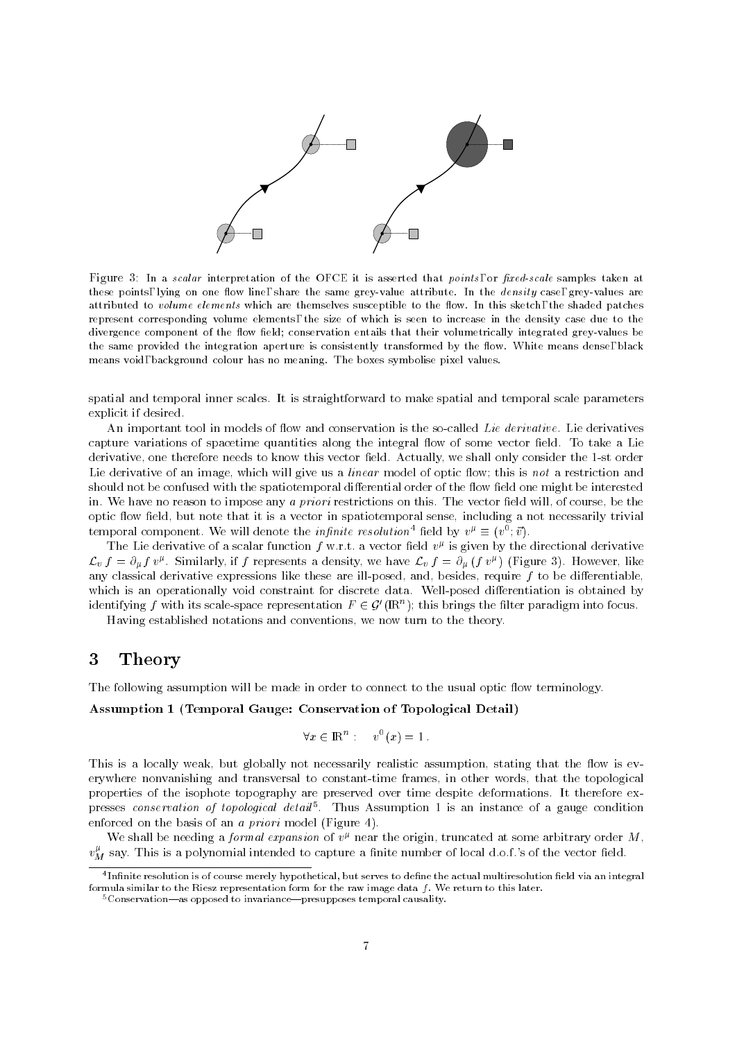

Figure 3: In a scalar interpretation of the OFCE it is asserted that points, or fixed-scale samples taken at these points, lying on one flow line, share the same grey-value attribute. In the *density* case, grey-values are attributed to *volume elements* which are themselves susceptible to the flow. In this sketch, the shaded patches represent corresponding volume elements, the size of which is seen to increase in the density case due to the divergence component of the flow field; conservation entails that their volumetrically integrated grey-values be the same provided the integration aperture is consistently transformed by the flow. White means dense, black means void, background colour has no meaning. The boxes symbolise pixel values.

spatial and temporal inner scales. It is straightforward to make spatial and temporal scale parameters explicit if desired.

An important tool in models of flow and conservation is the so-called Lie derivative. Lie derivatives capture variations of spacetime quantities along the integral flow of some vector field. To take a Lie derivative, one therefore needs to know this vector field. Actually, we shall only consider the 1-st order Lie derivative of an image, which will give us a *linear* model of optic flow; this is not a restriction and should not be confused with the spatiotemporal differential order of the flow field one might be interested in. We have no reason to impose any a priori restrictions on this. The vector field will, of course, be the optic flow field, but note that it is a vector in spatiotemporal sense, including a not necessarily trivial temporal component. We will denote the *infinite resolution* theid by  $v^* = (v^*; v)$ .

The Lie derivative of a scalar function  $f$  w.r.t. a vector field  $v<sup>r</sup>$  is given by the directional derivative  $\mathcal{L}_v f = \mathcal{O}_u f v^r$  . Similarly, if f represents a density, we have  $\mathcal{L}_v f = \mathcal{O}_u (f v^r)$  (Figure 3). However, like any classical derivative expressions like these are ill-posed, and, besides, require  $f$  to be differentiable, which is an operationally void constraint for discrete data. Well-posed differentiation is obtained by identifying  $f$  with its scale-space representation  $F \in \mathcal{G}^+(I\!\!K^+)$ ; this brings the filter paradigm into focus.

Having established notations and conventions, we now turn to the theory.

## 3 Theory

The following assumption will be made in order to connect to the usual optic flow terminology.

#### Assumption 1 (Temporal Gauge: Conservation of Topological Detail)

$$
\forall x \in \mathbb{R}^n : v^0(x) = 1.
$$

This is a locally weak, but globally not necessarily realistic assumption, stating that the flow is everywhere nonvanishing and transversal to constant-time frames, in other words, that the topological properties of the isophote topography are preserved over time despite deformations. It therefore expresses *conservation of topological detail* . Thus Assumption I is an instance of a gauge condition enforced on the basis of an a priori model (Figure 4).

We shall be needing a *formal expansion* of  $v<sup>r</sup>$  near the origin, truncated at some arbitrary order  $M$ ,  $v_M^{\mu}$  say. This is a polynomial intended to capture a finite number of local d.o.f.'s of the vector field.

<sup>-</sup> infinite resolution is of course merely hypothetical, but serves to define the actual multiresolution field via an integral formula similar to the Riesz representation form for the raw image data  $f$ . We return to this later.

 $5$ Conservation—as opposed to invariance—presupposes temporal causality.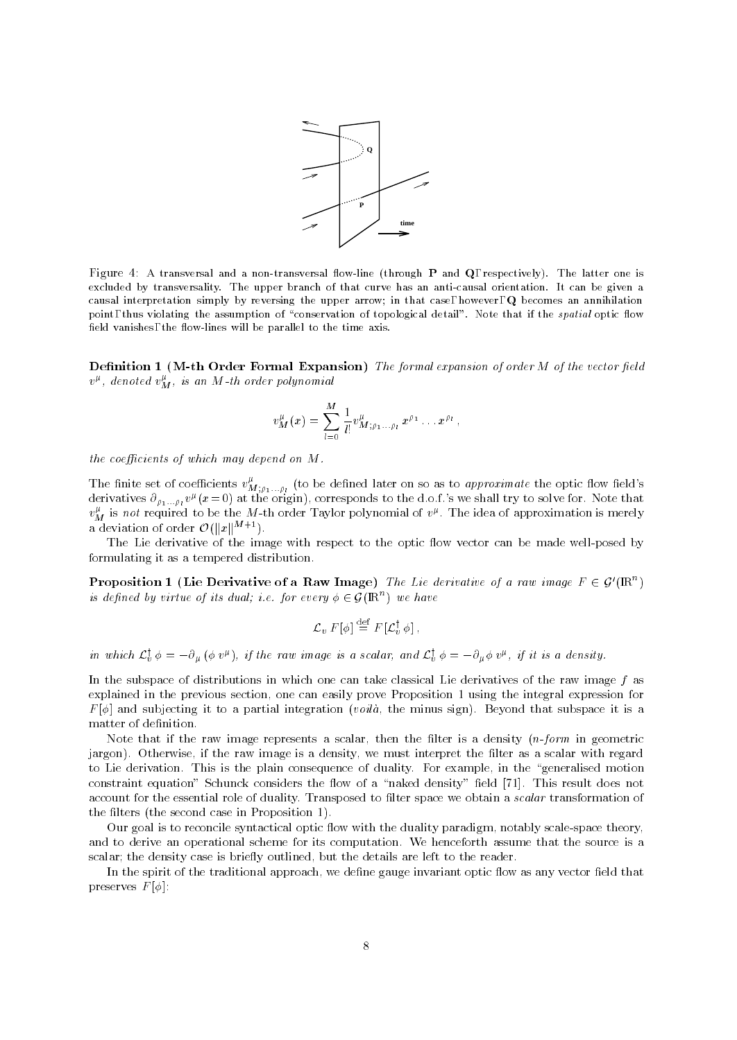

Figure 4: A transversal and a non-transversal flow-line (through P and Q, respectively). The latter one is excluded by transversality. The upper branch of that curve has an anti-causal orientation. It can be given a causal interpretation simply by reversing the upper arrow; in that case, however, Q becomes an annihilation point, thus violating the assumption of "conservation of topological detail". Note that if the spatial optic flow field vanishes, the flow-lines will be parallel to the time axis.

**Definition 1 (M-th Order Formal Expansion)** The formal expansion of order  $M$  of the vector field  $v^{\mu}$  , denoted  $v_M^{\tau}$  , is an M-th order polynomial

$$
v_M^{\mu} \left( x \right) = \sum_{l=0}^M \frac{1}{l!} v_{M; \rho_1 \ldots \rho_l}^{\mu} \; x^{\rho_1} \ldots x^{\rho_l} \; ,
$$

the coefficients of which may depend on  $M$ .

The finite set of coefficients  $v^\mu_{M;\rho_1...\rho_l}$  (to be defined later on so as to *approximate* the optic flow field's derivatives  $\partial_{\rho_1...\rho_l}v^\mu(x=0)$  at the origin), corresponds to the d.o.f.'s we shall try to solve for. Note that  $v_M^r$  is *not* required to be the M-th order Taylor polynomial of  $v^\mu$  . The idea of approximation is merely a deviation of order  $\mathcal{O}(\Vert x \Vert^{M+1})$ .

The Lie derivative of the image with respect to the optic flow vector can be made well-posed by formulating it as a tempered distribution.

Proposition 1 (Lie Derivative of a Kaw Image) the Lie derivative of a raw image  $F \in \mathcal{G}^+(\mathbb{R}^+)$ is defined by virtue of its dual; i.e. for every  $\phi \in \mathcal{G}(\mathbb{R}^n)$  we have

$$
\mathcal{L}_v F[\phi] \stackrel{\text{def}}{=} F[\mathcal{L}_v^{\dagger} \phi],
$$

in which  $L^v_y \varphi \equiv -\sigma_\mu \varphi \, v^r$ , if the raw image is a scatar, and  $L^v_y \varphi \equiv -\sigma_\mu \varphi \, v^r$ , if it is a density.

In the subspace of distributions in which one can take classical Lie derivatives of the raw image  $f$  as explained in the previous section, one can easily prove Proposition 1 using the integral expression for  $F[\phi]$  and subjecting it to a partial integration (voilà, the minus sign). Beyond that subspace it is a matter of definition.

Note that if the raw image represents a scalar, then the filter is a density  $(n-form$  in geometric jargon). Otherwise, if the raw image is a density, we must interpret the filter as a scalar with regard to Lie derivation. This is the plain consequence of duality. For example, in the "generalised motion constraint equation" Schunck considers the flow of a "naked density" field [71]. This result does not account for the essential role of duality. Transposed to filter space we obtain a *scalar* transformation of the filters (the second case in Proposition 1).

Our goal is to reconcile syntactical optic flow with the duality paradigm, notably scale-space theory, and to derive an operational scheme for its computation. We henceforth assume that the source is a scalar; the density case is briefly outlined, but the details are left to the reader.

In the spirit of the traditional approach, we define gauge invariant optic flow as any vector field that preserves  $F[\phi]$ :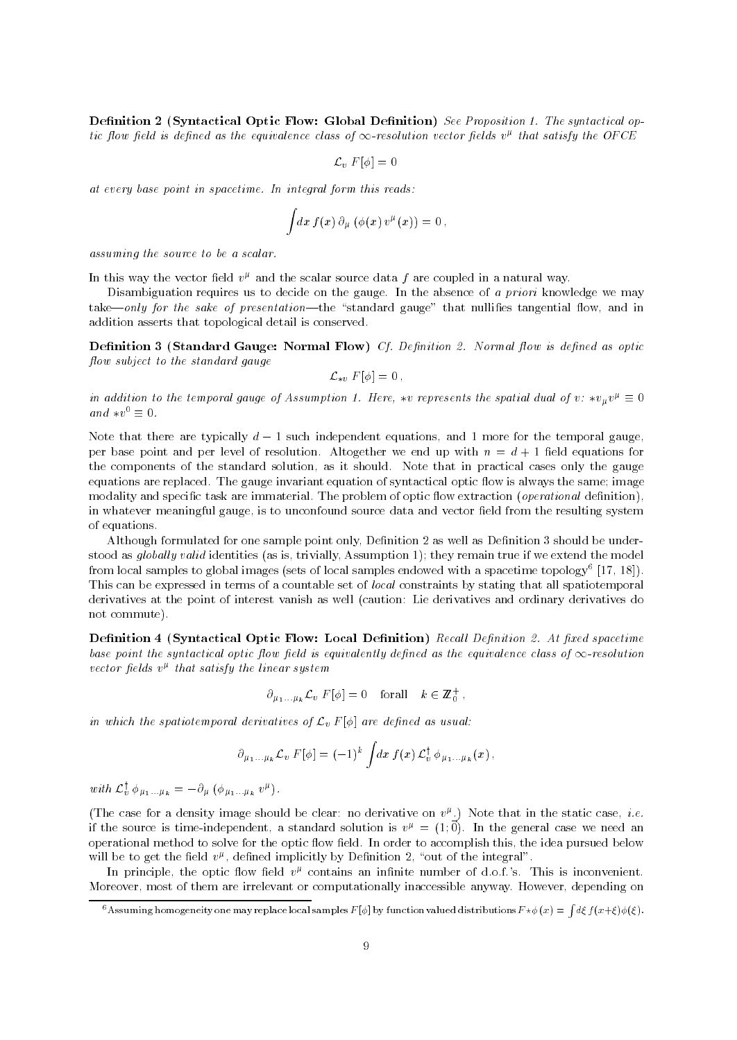**Definition 2 (Syntactical Optic Flow: Global Definition)** See Proposition 1. The syntactical optic flow field is defined as the equivalence class of  $\infty$ -resolution vector fields v $^r$  that satisfy the OFCE

$$
\mathcal{L}_v F[\phi] = 0
$$

at every base point in spacetime. In integral form this reads:

$$
\int dx f(x) \partial_{\mu} (\phi(x) v^{\mu}(x)) = 0 ,
$$

assuming the source to be a scalar.

In this way the vector field  $v^{\mu}$  and the scalar source data f are coupled in a natural way.

Disambiguation requires us to decide on the gauge. In the absence of a priori knowledge we may take—only for the sake of presentation—the "standard gauge" that nullifies tangential flow, and in addition asserts that topological detail is conserved.

**Definition 3 (Standard Gauge: Normal Flow)** Cf. Definition 2. Normal flow is defined as optic  $flow\ subject\ to\ the\ standard\ gauge$ 

$$
\mathcal{L}_{*v} F[\phi] = 0 ,
$$

in addition to the temporal gauge of Assumption 1. Here, \*v represents the spatial dual of v: \*v<sub>u</sub>v<sup> $\mu$ </sup>  $\equiv$  0  $an\alpha * v^{\scriptscriptstyle -} = v$ .

Note that there are typically  $d-1$  such independent equations, and 1 more for the temporal gauge, per base point and per level of resolution. Altogether we end up with  $n = d + 1$  field equations for the components of the standard solution, as it should. Note that in practical cases only the gauge equations are replaced. The gauge invariant equation of syntactical optic flow is always the same; image modality and specific task are immaterial. The problem of optic flow extraction (*operational* definition), in whatever meaningful gauge, is to unconfound source data and vector field from the resulting system of equations.

Although formulated for one sample point only, Definition 2 as well as Definition 3 should be understood as *globally valid* identities (as is, trivially, Assumption 1); they remain true if we extend the model from local samples to global images (sets of local samples endowed with a spacetime topology6 [17, 18]). This can be expressed in terms of a countable set of local constraints by stating that all spatiotemporal derivatives at the point of interest vanish as well (caution: Lie derivatives and ordinary derivatives do not commute).

Definition 4 (Syntactical Optic Flow: Local Definition) Recall Definition 2. At fixed spacetime base point the syntactical optic flow field is equivalently defined as the equivalence class of  $\infty$ -resolution vector netas vr tnat satisfy ine tinear system to the line of the line of the view of the view of the view of

$$
\partial_{\mu_1 \dots \mu_k} \mathcal{L}_v F[\phi] = 0 \quad \text{for all} \quad k \in \mathbb{Z}_0^+,
$$

in which the spatiotemporal derivatives of  $\mathcal{L}_v F[\phi]$  are defined as usual:

$$
\partial_{\mu_1...\mu_k} \mathcal{L}_v F[\phi] = (-1)^k \int dx f(x) \mathcal{L}_v^{\dagger} \phi_{\mu_1...\mu_k}(x) ,
$$

with  $\mathcal{L}_{v}^{\perp} \varphi_{\mu_{1} \dots \mu_{k}} = -\mathcal{O}_{\mu} \left( \varphi_{\mu_{1} \dots \mu_{k}} v^{\mu} \right)$ .

(The case for a density image should be clear: no derivative on  $v^{\mu}$  ) Note that in the static case,  $i.e.$ if the source is time-independent, a standard solution is  $v^{\mu} = (1, \vec{0})$ . In the general case we need an operational method to solve for the optic flow field. In order to accomplish this, the idea pursued below will be to get the field  $v^r$ , defined implicitly by Definition 2, out of the integral .  $\blacksquare$ 

In principle, the optic flow field  $v^{\mu}$  contains an infinite number of d.o.f.'s. This is inconvenient. Moreover, most of them are irrelevant or computationally inaccessible anyway. However, depending on

<sup>&</sup>lt;sup>6</sup> Assuming homogeneity one may replace local samples  $F[\phi]$  by function valued distributions  $F*\phi(x) = \int d\xi f(x+\xi)\phi(\xi)$ .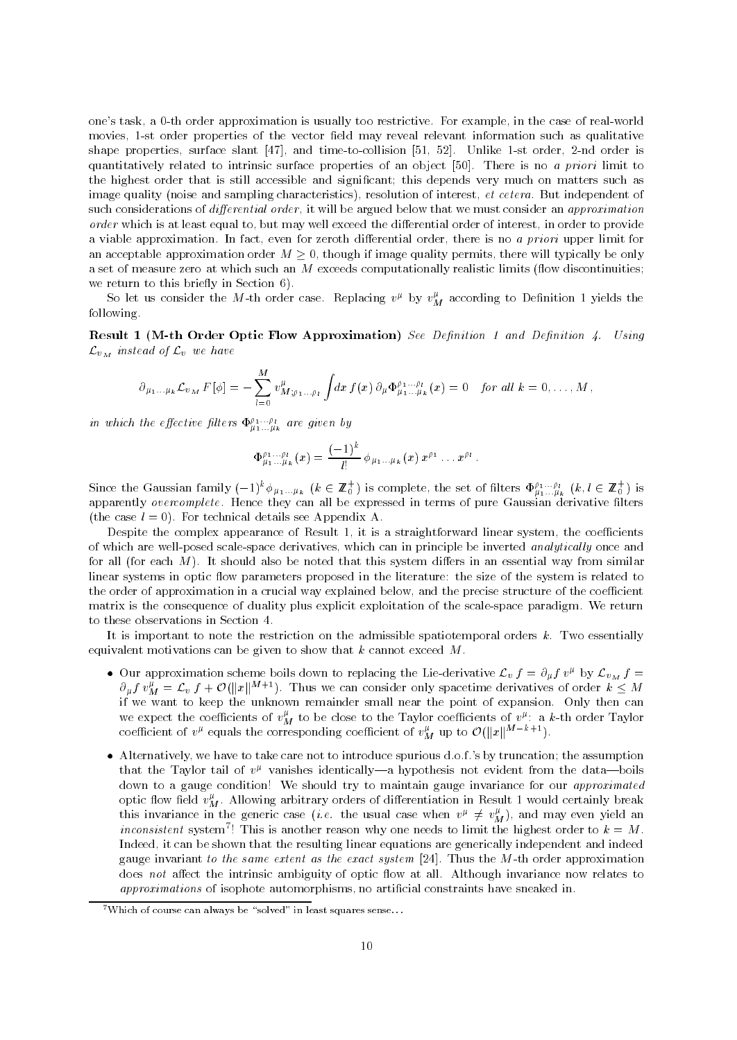one's task, a 0-th order approximation is usually too restrictive. For example, in the case of real-world movies, 1-st order properties of the vector field may reveal relevant information such as qualitative shape properties, surface slant [47], and time-to-collision [51, 52]. Unlike 1-st order, 2-nd order is quantitatively related to intrinsic surface properties of an object [50]. There is no a priori limit to the highest order that is still accessible and signicant; this depends very much on matters such as image quality (noise and sampling characteristics), resolution of interest, et cetera. But independent of such considerations of *differential order*, it will be argued below that we must consider an *approximation* order which is at least equal to, but may well exceed the differential order of interest, in order to provide a viable approximation. In fact, even for zeroth differential order, there is no a priori upper limit for an acceptable approximation order  $M \geq 0$ , though if image quality permits, there will typically be only a set of measure zero at which such an  $M$  exceeds computationally realistic limits (flow discontinuities; we return to this briefly in Section  $6$ ).

So let us consider the *M*-th order case. Replacing  $v^\mu$  by  $v_M^\tau$  according to Definition 1 yields the following.

**Result 1 (M-th Order Optic Flow Approximation)** See Definition 1 and Definition 4. Using  $\mathcal{L}_{v_M}$  instead of  $\mathcal{L}_v$  we have

$$
\partial_{\mu_1\dots\mu_k} \mathcal{L}_{v_M} F[\phi] = -\sum_{l=0}^M v^{\mu}_{M;\rho_1\dots\rho_l} \int\!\! dx \, f(x) \, \partial_\mu \Phi^{\rho_1\dots\rho_l}_{\mu_1\dots\mu_k}(x) = 0 \quad \text{for all } k=0,\dots,M\;,
$$

in which the effective fluers  $\Psi^{r}_{\mu_1\ldots\mu_k}$  are given by

$$
\Phi^{\rho_1...\rho_l}_{\mu_1...\mu_k}(x) = \frac{(-1)^k}{l!}\,\phi_{\mu_1...\mu_k}(x)\,x^{\rho_1}\dots x^{\rho_l}\;.
$$

Since the Gaussian family  $(-1)^n \varphi_{\mu_1...\mu_k}$  ( $k \in \mathbb{Z}_0^+$ ) is complete, the set of filters  $\Psi_{\mu_1...\mu_k}^{\mu_1...\mu_k}$   $(k,l \in \mathbb{Z}_0^+)$  is apparently overcomplete. Hence they can all be expressed in terms of pure Gaussian derivative filters (the case  $l = 0$ ). For technical details see Appendix A.

Despite the complex appearance of Result 1, it is a straightforward linear system, the coefficients of which are well-posed scale-space derivatives, which can in principle be inverted *analytically* once and for all (for each  $M$ ). It should also be noted that this system differs in an essential way from similar linear systems in optic flow parameters proposed in the literature: the size of the system is related to the order of approximation in a crucial way explained below, and the precise structure of the coefficient matrix is the consequence of duality plus explicit exploitation of the scale-space paradigm. We return to these observations in Section 4.

It is important to note the restriction on the admissible spatiotemporal orders  $k$ . Two essentially equivalent motivations can be given to show that  $k$  cannot exceed  $M$ .

- $\bullet\,$  Our approximation scheme boils down to replacing the Lie-derivative  ${\cal L}_v$   $f=\partial_\mu f\;v^r\,$  by  ${\cal L}_{v_M}\,f=0$  $\partial_\mu f\,v_M^r = {\cal L}_v\,f + {\cal O}(\|x\|^{\nu r+1}).$  Thus we can consider only spacetime derivatives of order  $k\leq M$ if we want to keep the unknown remainder small near the point of expansion. Only then can we expect the coefficients of  $v_M^r$  to be close to the Taylor coefficients of  $v^{\mu}$ : a k-th order Taylor coefficient of  $v^{\mu}$  equals the corresponding coefficient of  $v_M^{\tau}$  up to  $\mathcal{O}(\|x\|^{m-n+1}).$
- Alternatively, we have to take care not to introduce spurious d.o.f.'s by truncation; the assumption that the Taylor tail of  $v^{\mu}$  vanishes identically—a hypothesis not evident from the data—boils down to a gauge condition! We should try to maintain gauge invariance for our *approximated* optic flow field  $v_M^r$ . Allowing arbitrary orders of differentiation in Result 1 would certainly break this invariance in the generic case (*i.e.* the usual case when  $v^\mu \neq v_M^\tau$ ), and may even yield an *inconsistent* system  $\pm$  1 his is another reason why one needs to limit the highest order to  $\kappa = M$ . Indeed, it can be shown that the resulting linear equations are generically independent and indeed gauge invariant to the same extent as the exact system  $[24]$ . Thus the M-th order approximation does not affect the intrinsic ambiguity of optic flow at all. Although invariance now relates to approximations of isophote automorphisms, no artificial constraints have sneaked in.

 $^7$  Which of course can always be "solved" in least squares sense. . .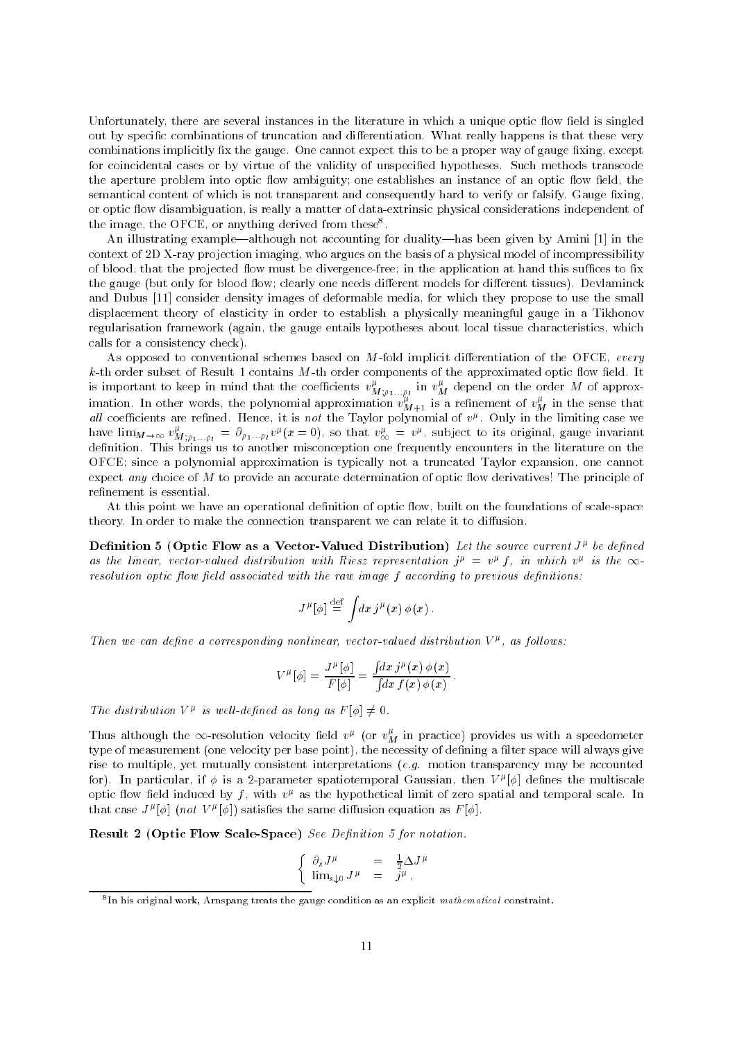Unfortunately, there are several instances in the literature in which a unique optic flow field is singled out by specific combinations of truncation and differentiation. What really happens is that these very combinations implicitly fix the gauge. One cannot expect this to be a proper way of gauge fixing, except for coincidental cases or by virtue of the validity of unspecied hypotheses. Such methods transcode the aperture problem into optic flow ambiguity; one establishes an instance of an optic flow field, the semantical content of which is not transparent and consequently hard to verify or falsify. Gauge fixing, or optic flow disambiguation, is really a matter of data-extrinsic physical considerations independent of the image, the OFCE, or anything derived from these  $\,$  .

An illustrating example—although not accounting for duality—has been given by Amini  $[1]$  in the context of 2D X-ray projection imaging, who argues on the basis of a physical model of incompressibility of blood, that the projected flow must be divergence-free; in the application at hand this suffices to fix the gauge (but only for blood flow; clearly one needs different models for different tissues). Devlaminck and Dubus [11] consider density images of deformable media, for which they propose to use the small displacement theory of elasticity in order to establish a physically meaningful gauge in a Tikhonov regularisation framework (again, the gauge entails hypotheses about local tissue characteristics, which calls for a consistency check).

As opposed to conventional schemes based on M-fold implicit differentiation of the OFCE, every  $k$ -th order subset of Result 1 contains  $M$ -th order components of the approximated optic flow field. It is important to keep in mind that the coefficients  $v^{\tau}_{M:\rho_1...\rho_l}$  in  $v^{\tau}_M$  depend on the order  $M$  of approximation. In other words, the polynomial approximation  $v_{M+1}^\tau$  is a refinement of  $v_M^\tau$  in the sense that all coefficients are refined. Hence, it is not the Taylor polynomial of  $v^r$ . Only in the limiting case we have  $\lim_{M\to\infty}v^r_{M;\rho_1...\rho_l}=\theta_{\rho_1...\rho_l}v^\mu(x=0),$  so that  $v^\mu_\infty=v^\mu,$  subject to its original, gauge invariant denition. This brings us to another misconception one frequently encounters in the literature on the OFCE; since a polynomial approximation is typically not a truncated Taylor expansion, one cannot expect any choice of  $M$  to provide an accurate determination of optic flow derivatives! The principle of refinement is essential.

At this point we have an operational definition of optic flow, built on the foundations of scale-space theory. In order to make the connection transparent we can relate it to diffusion.

**Demitrion 5 (Optic Flow as a vector-valued Distribution)** Let the source current  $J^{\pi}$  be defined as the linear, vector-valued distribution with Kiesz representation  $j^r \equiv v^r$  f, in which  $v^r$  is the  $\infty$ resolution optic flow field associated with the raw image f according to previous definitions:

$$
J^{\mu}[\phi] \stackrel{\text{def}}{=} \int \!\! dx \, j^{\mu}(x) \, \phi(x) \; .
$$

Inen we can define a corresponding nontinear, vector-valued distribution  $y \, r$  , as follows:

$$
V^{\mu}[\phi] = \frac{J^{\mu}[\phi]}{F[\phi]} = \frac{\int dx \, j^{\mu}(x) \, \phi(x)}{\int dx \, f(x) \, \phi(x)}.
$$

The attribution  $V \cap S$  well-defined as long as  $F |\varphi| \neq 0$ .

Thus although the  $\infty$ -resolution velocity field  $v^\mu$  (or  $v_M^\tau$  in practice) provides us with a speedometer type of measurement (one velocity per base point), the necessity of defining a filter space will always give rise to multiple, yet mutually consistent interpretations (e.g. motion transparency may be accounted for). In particular, if  $\phi$  is a z-parameter spatiotemporal Gaussian, then  $V^*[\phi]$  defines the multiscale optic flow field induced by f, with  $v^{\mu}$  as the hypothetical limit of zero spatial and temporal scale. In that case  $J^r[\varphi]$  (not  $V^r[\varphi]$ ) satisfies the same diffusion equation as  $I^r[\varphi]$ .

Result 2 (Optic Flow Scale-Space) See Definition 5 for notation.

$$
\left\{\n\begin{array}{rcl}\n\partial_s J^\mu & = & \frac{1}{2} \Delta J^\mu \\
\lim_{s \downarrow 0} J^\mu & = & j^\mu\n\end{array}\n\right.
$$

 $\,$  In his original work, Arnspang treats the gauge condition as an explicit  $\,$  mathematical constraint.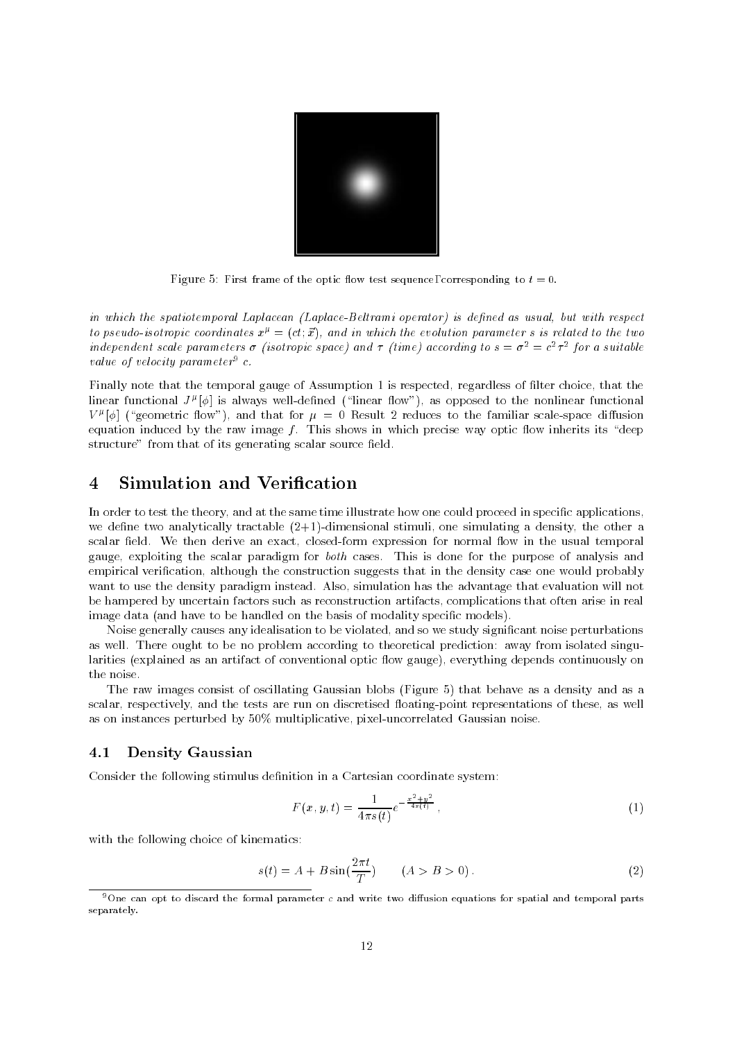

Figure 5: First frame of the optic flow test sequence, corresponding to  $t = 0$ .

in which the spatiotemporal Laplacean (Laplace-Beltrami operator) is defined as usual, but with respect to pseudo-isotropic coordinates  $x^{\mu} = (ct, \vec{x})$ , and in which the evolution parameter s is related to the two independent scale parameters  $\sigma$  (isotropic space) and  $\tau$  (time) according to  $s=\sigma^{\bot}=\varepsilon^{\bot}\tau^{\bot}$  for a suitable value of velocity parameter<sup>9</sup> c.

Finally note that the temporal gauge of Assumption 1 is respected, regardless of filter choice, that the linear functional  $J^r|\phi|$  is always well-defined ( Tinear flow ), as opposed to the nonlinear functional  $\hspace{0.1em}$  $V \cap [\varphi]$  ( geometric now ), and that for  $\mu = 0$  result 2 reduces to the familiar scale-space diffusion equation induced by the raw image  $f$ . This shows in which precise way optic flow inherits its "deep structure" from that of its generating scalar source field.

# 4 Simulation and Verification

In order to test the theory, and at the same time illustrate how one could proceed in specific applications, we define two analytically tractable  $(2+1)$ -dimensional stimuli, one simulating a density, the other a scalar field. We then derive an exact, closed-form expression for normal flow in the usual temporal gauge, exploiting the scalar paradigm for both cases. This is done for the purpose of analysis and empirical verification, although the construction suggests that in the density case one would probably want to use the density paradigm instead. Also, simulation has the advantage that evaluation will not be hampered by uncertain factors such as reconstruction artifacts, complications that often arise in real image data (and have to be handled on the basis of modality specific models).

Noise generally causes any idealisation to be violated, and so we study signicant noise perturbations as well. There ought to be no problem according to theoretical prediction: away from isolated singularities (explained as an artifact of conventional optic flow gauge), everything depends continuously on the noise.

The raw images consist of oscillating Gaussian blobs (Figure 5) that behave as a density and as a scalar, respectively, and the tests are run on discretised floating-point representations of these, as well as on instances perturbed by 50% multiplicative, pixel-uncorrelated Gaussian noise.

## 4.1 Density Gaussian

Consider the following stimulus definition in a Cartesian coordinate system:

$$
F(x, y, t) = \frac{1}{4\pi s(t)} e^{-\frac{x^2 + y^2}{4s(t)}},
$$
\n(1)

with the following choice of kinematics:

$$
s(t) = A + B\sin(\frac{2\pi t}{T}) \qquad (A > B > 0).
$$
 (2)

<sup>&</sup>lt;sup>9</sup>One can opt to discard the formal parameter  $c$  and write two diffusion equations for spatial and temporal parts separately.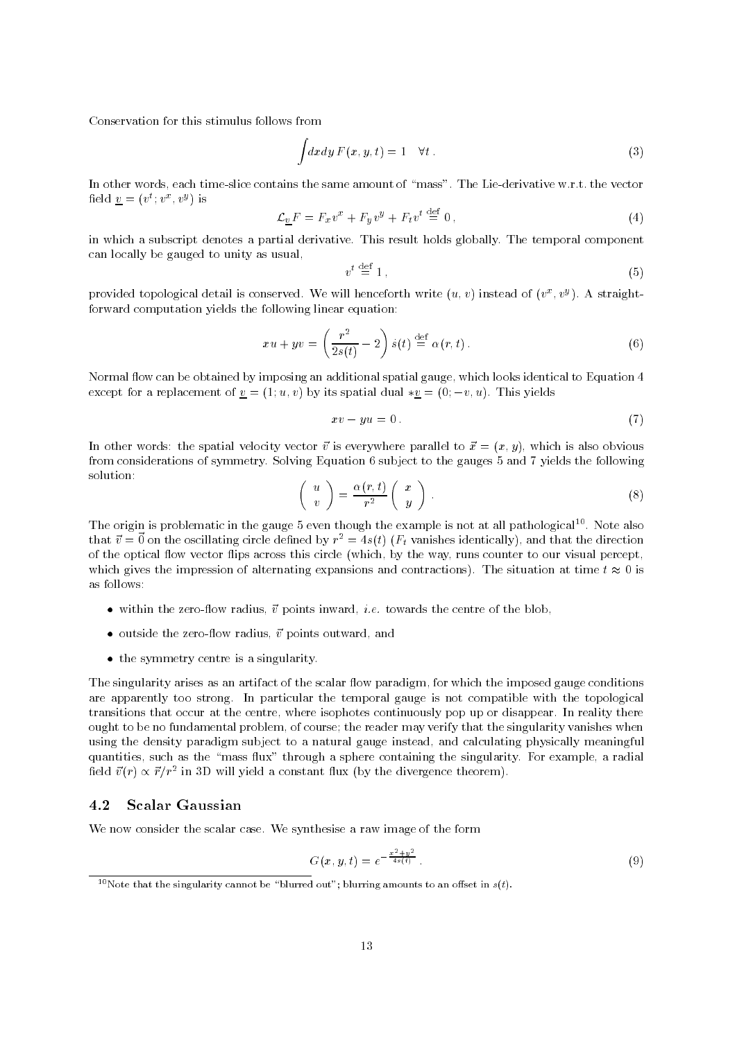Conservation for this stimulus follows from

$$
\int dx dy F(x, y, t) = 1 \quad \forall t.
$$
\n(3)

In other words, each time-slice contains the same amount of "mass". The Lie-derivative w.r.t. the vector  $u = (v^{\scriptscriptstyle +}, v^{\scriptscriptstyle -}, v^{\scriptscriptstyle -})$  is

$$
\mathcal{L}_{\underline{v}}F = F_x v^x + F_y v^y + F_t v^t \stackrel{\text{def}}{=} 0 , \qquad (4)
$$

in which a subscript denotes a partial derivative. This result holds globally. The temporal component can locally be gauged to unity as usual,

$$
v^t \stackrel{\text{def}}{=} 1 \,, \tag{5}
$$

provided topological detail is conserved. We will henceforth write  $(u, v)$  instead of  $(v^-, v^*)$ . A straightforward computation yields the following linear equation:

$$
xu + yv = \left(\frac{r^2}{2s(t)} - 2\right)s(t) \stackrel{\text{def}}{=} \alpha(r, t).
$$
 (6)

Normal flow can be obtained by imposing an additional spatial gauge, which looks identical to Equation 4 except for a replacement of  $v = (1; u, v)$  by its spatial dual  $* v = (0; -v, u)$ . This yields

$$
xv - yu = 0. \tag{7}
$$

In other words: the spatial velocity vector  $\vec{v}$  is everywhere parallel to  $\vec{x} = (x, y)$ , which is also obvious from considerations of symmetry. Solving Equation 6 subject to the gauges 5 and 7 yields the following solution:  $\sim$   $\sim$   $\sim$   $\sim$ 

$$
\left(\begin{array}{c} u \\ v \end{array}\right) = \frac{\alpha(r,t)}{r^2} \left(\begin{array}{c} x \\ y \end{array}\right) \tag{8}
$$

The origin is problematic in the gauge 5 even though the example is not at all pathological<sup>10</sup>. Note also that  $v = 0$  on the oscillating circle defined by  $r^* = 4s(t)$  (F<sub>t</sub> vanishes identically), and that the direction of the optical flow vector flips across this circle (which, by the way, runs counter to our visual percept, which gives the impression of alternating expansions and contractions). The situation at time  $t \approx 0$  is as follows:

- within the zero-flow radius,  $\vec{v}$  points inward, *i.e.* towards the centre of the blob,
- outside the zero-flow radius,  $\vec{v}$  points outward, and
- the symmetry centre is a singularity.

The singularity arises as an artifact of the scalar flow paradigm, for which the imposed gauge conditions are apparently too strong. In particular the temporal gauge is not compatible with the topological transitions that occur at the centre, where isophotes continuously pop up or disappear. In reality there ought to be no fundamental problem, of course; the reader may verify that the singularity vanishes when using the density paradigm subject to a natural gauge instead, and calculating physically meaningful quantities, such as the "mass flux" through a sphere containing the singularity. For example, a radial  $\ln$ eld  $v(r) \propto r/r$  in 3D will yield a constant flux (by the divergence theorem).

### $4.2$

We now consider the scalar case. We synthesise a raw image of the form

$$
G(x, y, t) = e^{-\frac{x^2 + y^2}{4s(t)}}.
$$
\n(9)

<sup>&</sup>lt;sup>10</sup>Note that the singularity cannot be "blurred out"; blurring amounts to an offset in  $s(t)$ .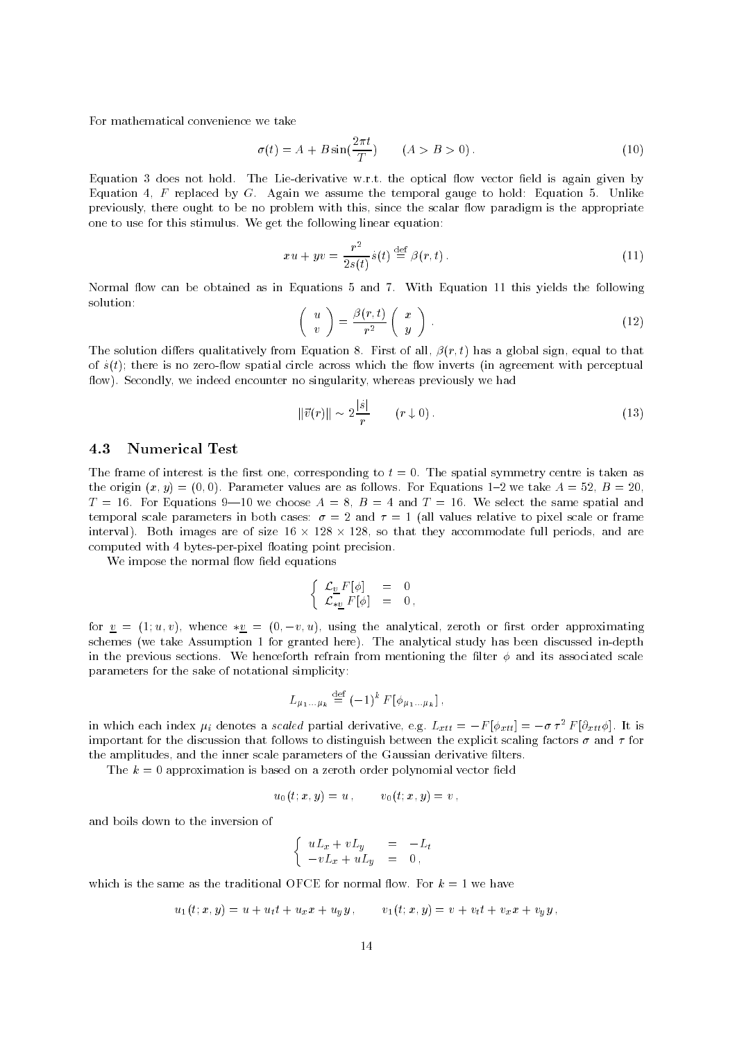For mathematical convenience we take

$$
\sigma(t) = A + B \sin\left(\frac{2\pi t}{T}\right) \qquad (A > B > 0) \tag{10}
$$

Equation 3 does not hold. The Lie-derivative w.r.t. the optical flow vector field is again given by Equation 4,  $F$  replaced by  $G$ . Again we assume the temporal gauge to hold: Equation 5. Unlike previously, there ought to be no problem with this, since the scalar flow paradigm is the appropriate one to use for this stimulus. We get the following linear equation:

$$
xu + yv = \frac{r^2}{2s(t)} \dot{s}(t) \stackrel{\text{def}}{=} \beta(r, t) . \tag{11}
$$

Normal flow can be obtained as in Equations 5 and 7. With Equation 11 this yields the following solution: 

$$
\left(\begin{array}{c} u \\ v \end{array}\right) = \frac{\beta(r,t)}{r^2} \left(\begin{array}{c} x \\ y \end{array}\right) \,. \tag{12}
$$

The solution differs qualitatively from Equation 8. First of all,  $\beta(r,t)$  has a global sign, equal to that of  $s(t)$ ; there is no zero-flow spatial circle across which the flow inverts (in agreement with perceptual flow). Secondly, we indeed encounter no singularity, whereas previously we had

$$
\|\vec{v}(r)\| \sim 2\frac{|s|}{r} \qquad (r \downarrow 0) \; . \tag{13}
$$

### 4.3 Numerical Test

The frame of interest is the first one, corresponding to  $t = 0$ . The spatial symmetry centre is taken as the origin  $(x, y) = (0, 0)$ . Parameter values are as follows. For Equations 1-2 we take  $A = 52$ ,  $B = 20$ ,  $T = 16$ . For Equations 9-10 we choose  $A = 8$ ,  $B = 4$  and  $T = 16$ . We select the same spatial and temporal scale parameters in both cases:  $\sigma = 2$  and  $\tau = 1$  (all values relative to pixel scale or frame interval). Both intervals are of size 16 - 128, so that they accommodate full periods, and are computed with 4 bytes-per-pixel floating point precision.

We impose the normal flow field equations

$$
\left\{\n\begin{array}{rcl}\n\mathcal{L}_v F[\phi] & = & 0 \\
\mathcal{L}_{*\underline{v}} F[\phi] & = & 0\n\end{array}\n\right.
$$

for  $\underline{v} = (1; u, v)$ , whence  $*_\underline{v} = (0, -v, u)$ , using the analytical, zeroth or first order approximating schemes (we take Assumption 1 for granted here). The analytical study has been discussed in-depth in the previous sections. We henceforth refrain from mentioning the filter  $\phi$  and its associated scale parameters for the sake of notational simplicity:

$$
L_{\mu_1...\mu_k} \stackrel{\text{def}}{=} (-1)^k F[\phi_{\mu_1...\mu_k}],
$$

in which each index  $\mu_i$  denotes a scaled partial derivative, e.g.  $L_{xtt} = -F[\phi_{xtt}] = -\sigma \tau^2 F[\partial_{xtt}\phi]$ . It is important for the discussion that follows to distinguish between the explicit scaling factors  $\sigma$  and  $\tau$  for the amplitudes, and the inner scale parameters of the Gaussian derivative filters.

The  $k = 0$  approximation is based on a zeroth order polynomial vector field

$$
u_0(t;x,y) = u\,, \qquad v_0(t;x,y) = v\,,
$$

and boils down to the inversion of

$$
\begin{cases}\n uL_x + vL_y &= -L_t \\
 -vL_x + uL_y &= 0\n\end{cases}
$$

which is the same as the traditional OFCE for normal flow. For  $k = 1$  we have

$$
u_1(t; x, y) = u + u_t t + u_x x + u_y y, \qquad v_1(t; x, y) = v + v_t t + v_x x + v_y y,
$$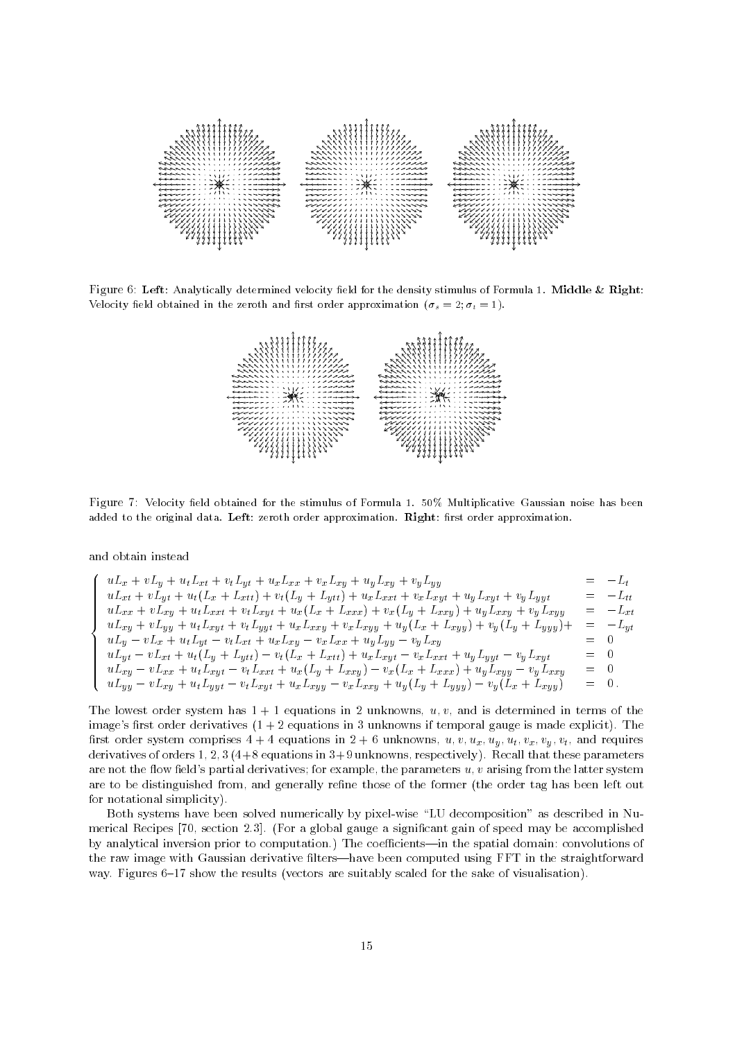

Figure 6: Left: Analytically determined velocity field for the density stimulus of Formula 1. Middle & Right: Velocity field obtained in the zeroth and first order approximation  $(\sigma_s = 2; \sigma_t = 1)$ .



Figure 7: Velocity field obtained for the stimulus of Formula 1. 50% Multiplicative Gaussian noise has been added to the original data. Left: zeroth order approximation. Right: first order approximation.

and obtain instead

$$
\begin{cases}\n uL_x + vL_y + u_tL_{xt} + v_tL_{yt} + u_xL_{xx} + v_xL_{xy} + u_yL_{xy} + v_yL_{yy} &= -L_t \\
 uL_{xt} + vL_{yt} + u_t(L_x + L_{xtt}) + v_t(L_y + L_{ytt}) + u_xL_{xxt} + v_xL_{xyt} + u_yL_{xyt} + v_yL_{yyt} &= -L_{tt} \\
 uL_{xx} + vL_{xy} + u_tL_{xxt} + v_tL_{xyt} + u_x(L_x + L_{xxx}) + v_x(L_y + L_{xxy}) + u_yL_{xxy} + v_yL_{xyy} &= -L_{xt} \\
 uL_{xy} + vL_{yy} + u_tL_{xyt} + v_tL_{yyt} + u_xL_{xyy} + v_xL_{xyy} + u_y(L_x + L_{xyy}) + v_y(L_y + L_{yyy}) + &= -L_{yt} \\
 uL_y - vL_x + u_tL_{yt} - v_tL_{xt} + u_xL_{xy} - v_xL_{xx} + u_yL_{yy} - v_yL_{xy} &= 0 \\
 uL_{yt} - vL_{xt} + u_t(L_y + L_{ytt}) - v_t(L_x + L_{xtt}) + u_xL_{xyt} - v_xL_{xxt} + u_yL_{yyt} - v_yL_{xyt} &= 0 \\
 uL_{xy} - vL_{xx} + u_tL_{yyt} - v_tL_{xxt} + u_x(L_y + L_{xxy}) - v_x(L_x + L_{xxx}) + u_yL_{xyy} - v_yL_{xxy} &= 0 \\
 uL_{yy} - vL_{xy} + u_tL_{yyt} - v_tL_{xyt} + u_xL_{xyy} - v_xL_{xxy} + u_y(L_y + L_{yyy}) - v_y(L_x + L_{xyy}) &= 0\n\end{cases}
$$

The lowest order system has  $1 + 1$  equations in 2 unknowns,  $u, v$ , and is determined in terms of the image's first order derivatives  $(1 + 2$  equations in 3 unknowns if temporal gauge is made explicit). The first order system comprises  $4 + 4$  equations in  $2 + 6$  unknowns,  $u, v, u_x, u_y, u_t, v_x, v_y, v_t$ , and requires derivatives of orders 1, 2, 3 (4+8 equations in  $3+9$  unknowns, respectively). Recall that these parameters are not the flow field's partial derivatives; for example, the parameters  $u, v$  arising from the latter system are to be distinguished from, and generally refine those of the former (the order tag has been left out for notational simplicity).

Both systems have been solved numerically by pixel-wise "LU decomposition" as described in Numerical Recipes [70, section 2.3]. (For a global gauge a signicant gain of speed may be accomplished by analytical inversion prior to computation.) The coefficients—in the spatial domain: convolutions of the raw image with Gaussian derivative filters—have been computed using FFT in the straightforward way. Figures  $6-17$  show the results (vectors are suitably scaled for the sake of visualisation).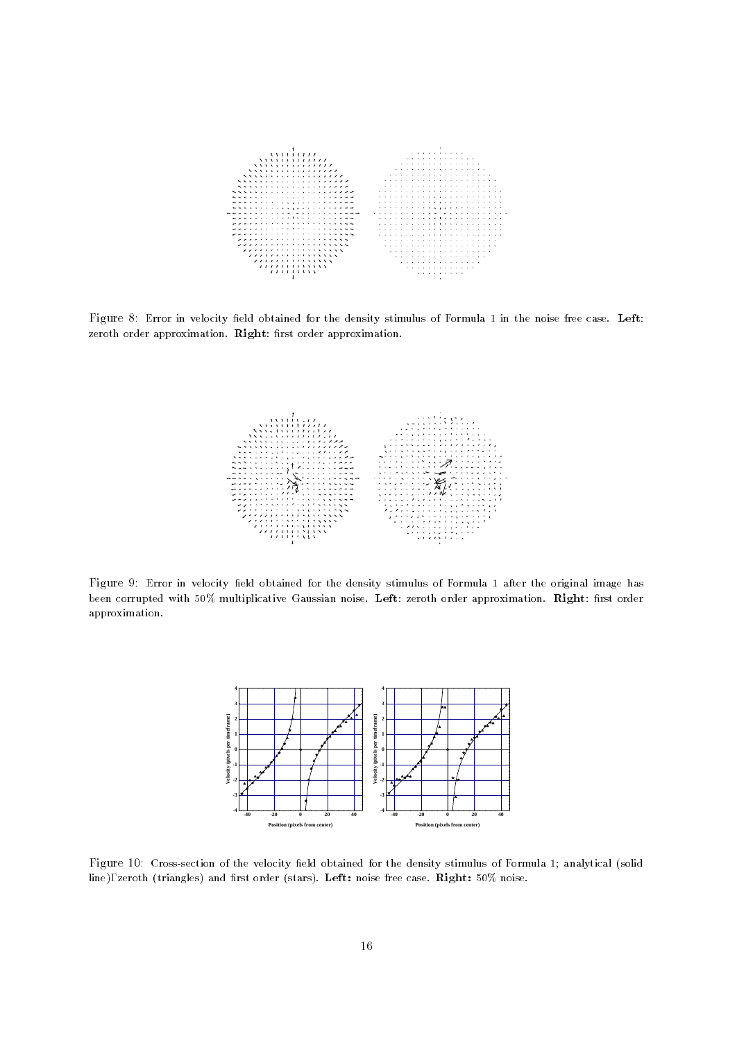

Figure 8: Error in velocity field obtained for the density stimulus of Formula 1 in the noise free case. Left: zeroth order approximation. Right: first order approximation.



Figure 9: Error in velocity field obtained for the density stimulus of Formula 1 after the original image has been corrupted with 50% multiplicative Gaussian noise. Left: zeroth order approximation. Right: first order approximation.



Figure 10: Cross-section of the velocity field obtained for the density stimulus of Formula 1; analytical (solid line), zeroth (triangles) and first order (stars). Left: noise free case. Right: 50% noise.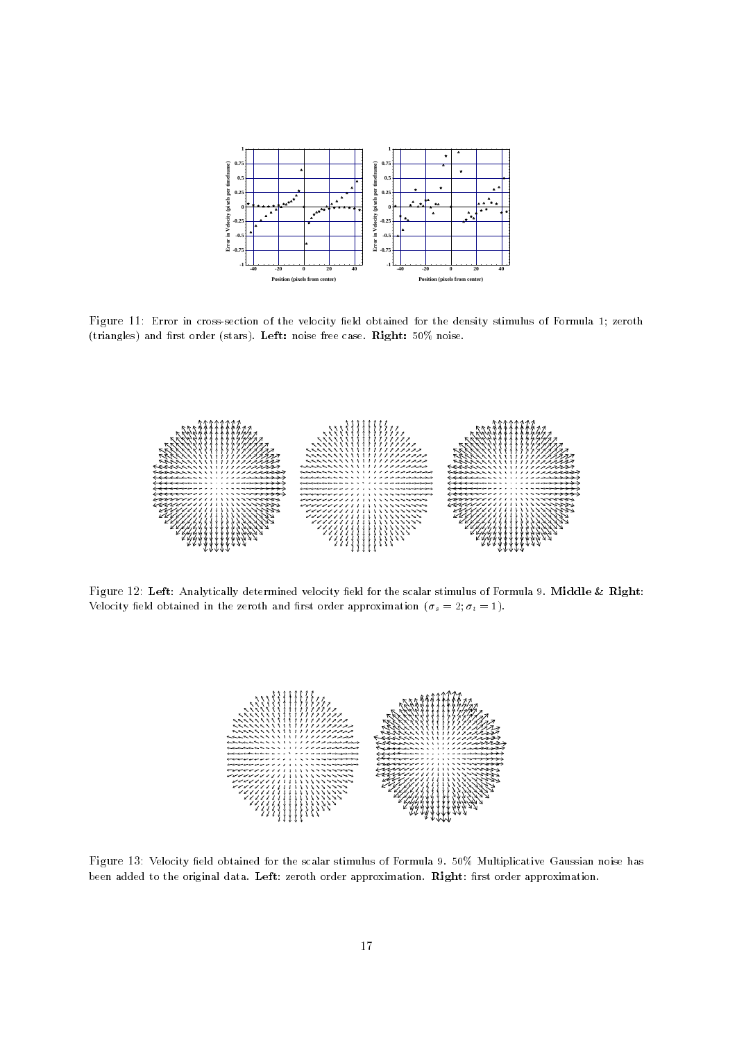

Figure 11: Error in cross-section of the velocity field obtained for the density stimulus of Formula 1; zeroth (triangles) and first order (stars). Left: noise free case. Right: 50% noise.



Figure 12: Left: Analytically determined velocity field for the scalar stimulus of Formula 9. Middle & Right: Velocity field obtained in the zeroth and first order approximation  $(\sigma_s = 2; \sigma_t = 1)$ .



Figure 13: Velocity field obtained for the scalar stimulus of Formula 9. 50% Multiplicative Gaussian noise has been added to the original data. Left: zeroth order approximation. Right: first order approximation.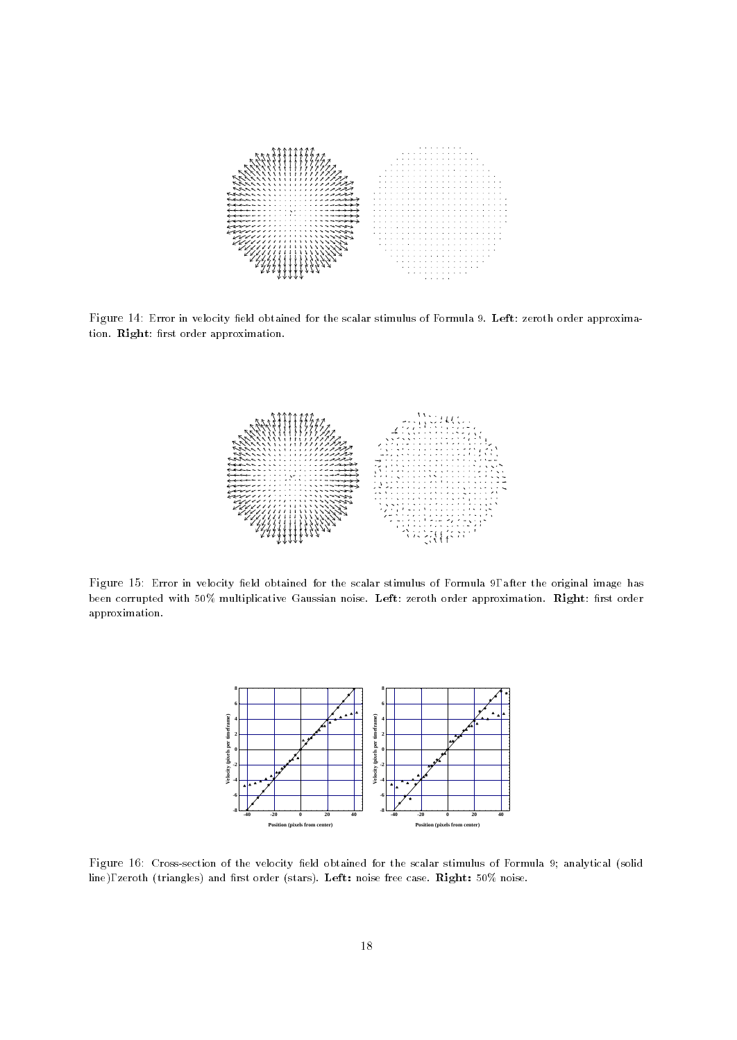

Figure 14: Error in velocity field obtained for the scalar stimulus of Formula 9. Left: zeroth order approximation. Right: first order approximation.



Figure 15: Error in velocity field obtained for the scalar stimulus of Formula 9, after the original image has been corrupted with 50% multiplicative Gaussian noise. Left: zeroth order approximation. Right: first order approximation.



Figure 16: Cross-section of the velocity field obtained for the scalar stimulus of Formula 9; analytical (solid line), zeroth (triangles) and first order (stars). Left: noise free case. Right: 50% noise.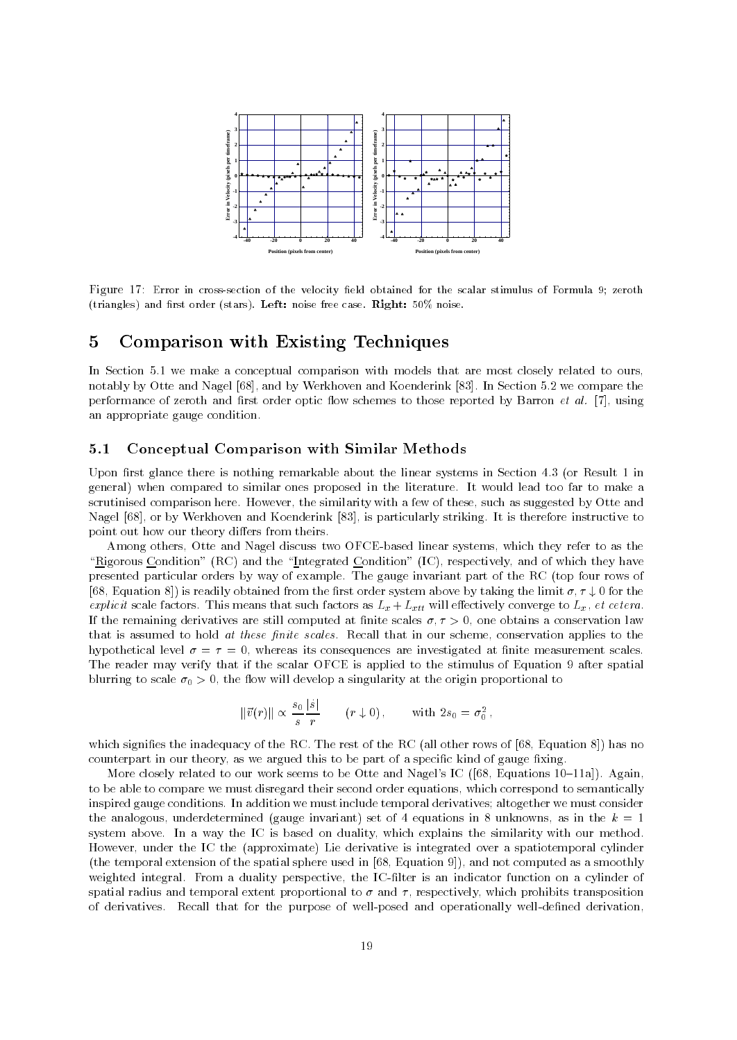

Figure 17: Error in cross-section of the velocity field obtained for the scalar stimulus of Formula 9; zeroth (triangles) and first order (stars). Left: noise free case. Right:  $50\%$  noise.

#### $\overline{5}$ 5 Comparison with Existing Techniques

In Section 5.1 we make a conceptual comparison with models that are most closely related to ours, notably by Otte and Nagel [68], and by Werkhoven and Koenderink [83]. In Section 5.2 we compare the performance of zeroth and first order optic flow schemes to those reported by Barron *et al.* [7], using an appropriate gauge condition.

#### 5.1 Conceptual Comparison with Similar Methods  $5.1$

Upon first glance there is nothing remarkable about the linear systems in Section  $4.3$  (or Result 1 in general) when compared to similar ones proposed in the literature. It would lead too far to make a scrutinised comparison here. However, the similarity with a few of these, such as suggested by Otte and Nagel [68], or by Werkhoven and Koenderink [83], is particularly striking. It is therefore instructive to point out how our theory differs from theirs.

Among others, Otte and Nagel discuss two OFCE-based linear systems, which they refer to as the "Rigorous Condition" (RC) and the "Integrated Condition" (IC), respectively, and of which they have presented particular orders by way of example. The gauge invariant part of the RC (top four rows of [68, Equation 8]) is readily obtained from the first order system above by taking the limit  $\sigma, \tau \downarrow 0$  for the explicit scale factors. This means that such factors as  $L_x + L_{xtt}$  will effectively converge to  $L_x$ , et cetera. If the remaining derivatives are still computed at finite scales  $\sigma, \tau > 0$ , one obtains a conservation law that is assumed to hold at these finite scales. Recall that in our scheme, conservation applies to the hypothetical level  $\sigma = \tau = 0$ , whereas its consequences are investigated at finite measurement scales. The reader may verify that if the scalar OFCE is applied to the stimulus of Equation 9 after spatial blurring to scale  $\sigma_0 > 0$ , the flow will develop a singularity at the origin proportional to

$$
\|\vec{v}(r)\| \propto \frac{s_0}{s} \frac{|s|}{r} \qquad (r \downarrow 0) , \qquad \text{with } 2s_0 = \sigma_0^2 ,
$$

which signifies the inadequacy of the RC. The rest of the RC (all other rows of [68, Equation 8]) has no counterpart in our theory, as we argued this to be part of a specific kind of gauge fixing.

More closely related to our work seems to be Otte and Nagel's IC ( $[68,$  Equations  $10–11a]$ ). Again, to be able to compare we must disregard their second order equations, which correspond to semantically inspired gauge conditions. In addition we must include temporal derivatives; altogether we must consider the analogous, underdetermined (gauge invariant) set of 4 equations in 8 unknowns, as in the  $k = 1$ system above. In a way the IC is based on duality, which explains the similarity with our method. However, under the IC the (approximate) Lie derivative is integrated over a spatiotemporal cylinder (the temporal extension of the spatial sphere used in [68, Equation 9]), and not computed as a smoothly weighted integral. From a duality perspective, the IC-filter is an indicator function on a cylinder of spatial radius and temporal extent proportional to  $\sigma$  and  $\tau$ , respectively, which prohibits transposition of derivatives. Recall that for the purpose of well-posed and operationally well-dened derivation,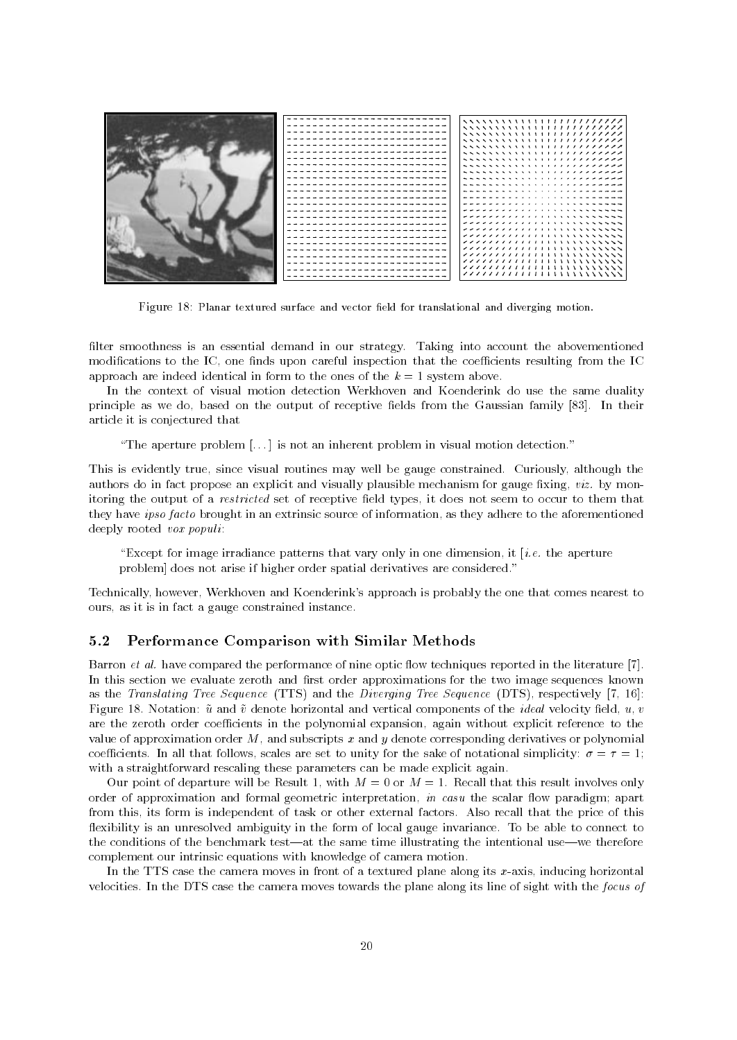

Figure 18: Planar textured surface and vector field for translational and diverging motion.

filter smoothness is an essential demand in our strategy. Taking into account the abovementioned modifications to the IC, one finds upon careful inspection that the coefficients resulting from the IC approach are indeed identical in form to the ones of the  $k = 1$  system above.

In the context of visual motion detection Werkhoven and Koenderink do use the same duality principle as we do, based on the output of receptive fields from the Gaussian family [83]. In their article it is conjectured that

"The aperture problem [...] is not an inherent problem in visual motion detection."

This is evidently true, since visual routines may well be gauge constrained. Curiously, although the authors do in fact propose an explicit and visually plausible mechanism for gauge fixing,  $viz$ , by monitoring the output of a *restricted* set of receptive field types, it does not seem to occur to them that they have ipso facto brought in an extrinsic source of information, as they adhere to the aforementioned deeply rooted vox populi:

"Except for image irradiance patterns that vary only in one dimension, it [i.e. the aperture problem] does not arise if higher order spatial derivatives are considered."

Technically, however, Werkhoven and Koenderink's approach is probably the one that comes nearest to ours, as it is in fact a gauge constrained instance.

#### 5.2 Performance Comparison with Similar Methods

Barron *et al.* have compared the performance of nine optic flow techniques reported in the literature  $[7]$ . In this section we evaluate zeroth and first order approximations for the two image sequences known as the Translating Tree Sequence (TTS) and the Diverging Tree Sequence (DTS), respectively [7, 16]: Figure 18. Notation:  $\tilde{u}$  and  $\tilde{v}$  denote horizontal and vertical components of the *ideal* velocity field,  $u, v$ are the zeroth order coefficients in the polynomial expansion, again without explicit reference to the value of approximation order  $M$ , and subscripts  $x$  and  $y$  denote corresponding derivatives or polynomial coefficients. In all that follows, scales are set to unity for the sake of notational simplicity:  $\sigma = \tau = 1$ ; with a straightforward rescaling these parameters can be made explicit again.

Our point of departure will be Result 1, with  $M = 0$  or  $M = 1$ . Recall that this result involves only order of approximation and formal geometric interpretation, in casu the scalar flow paradigm; apart from this, its form is independent of task or other external factors. Also recall that the price of this flexibility is an unresolved ambiguity in the form of local gauge invariance. To be able to connect to the conditions of the benchmark test—at the same time illustrating the intentional use—we therefore complement our intrinsic equations with knowledge of camera motion.

In the TTS case the camera moves in front of a textured plane along its x-axis, inducing horizontal velocities. In the DTS case the camera moves towards the plane along its line of sight with the focus of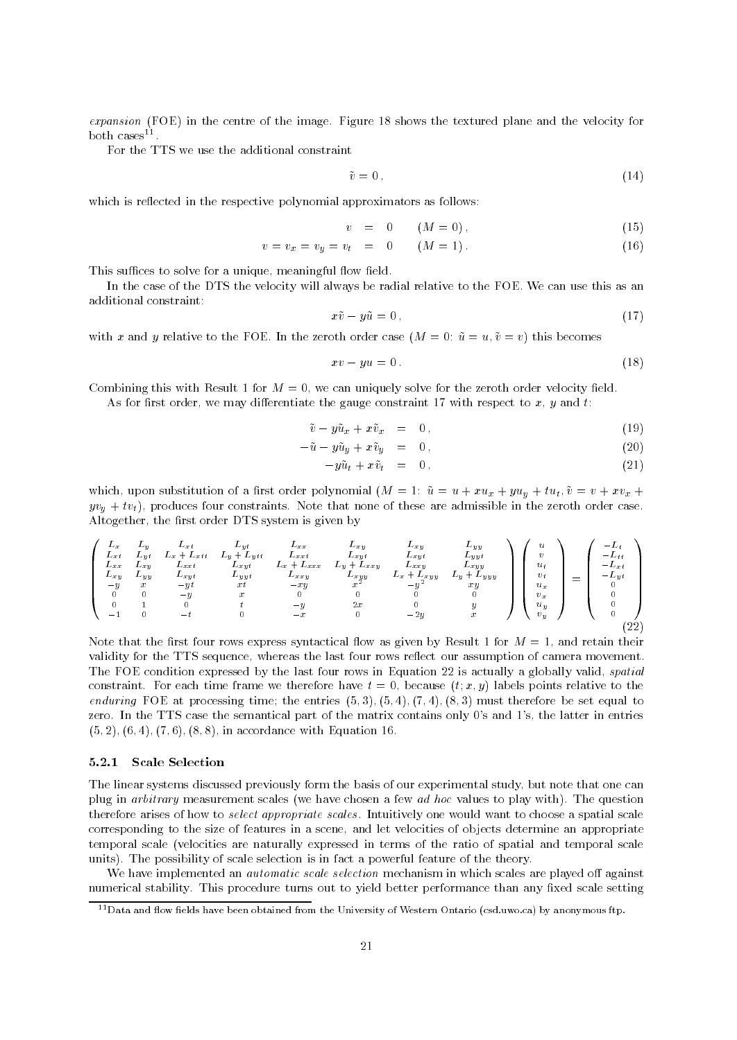expansion (FOE) in the centre of the image. Figure 18 shows the textured plane and the velocity for both cases<sup>--</sup>.

For the TTS we use the additional constraint

$$
\tilde{v} = 0 \tag{14}
$$

which is reflected in the respective polynomial approximators as follows:

$$
v = 0 \t (M = 0), \t (15)
$$

$$
v = v_x = v_y = v_t = 0 \t\t (M = 1). \t\t (16)
$$

This suffices to solve for a unique, meaningful flow field.

In the case of the DTS the velocity will always be radial relative to the FOE. We can use this as an additional constraint:

$$
x\tilde{v} - y\tilde{u} = 0\tag{17}
$$

with x and y relative to the FOE. In the zeroth order case  $(M = 0: \tilde{u} = u, \tilde{v} = v)$  this becomes

$$
xv - yu = 0. \tag{18}
$$

Combining this with Result 1 for  $M=0$ , we can uniquely solve for the zeroth order velocity field. As for first order, we may differentiate the gauge constraint 17 with respect to  $x, y$  and t:

 $\omega = \omega - \sqrt{\omega}$ 

$$
v - y u_x + x v_x = 0, \qquad (19)
$$

$$
-u - y\tilde{u}_y + x\tilde{v}_y = 0, \qquad (20)
$$

$$
-y\tilde{u}_t + x\tilde{v}_t = 0, \qquad (21)
$$

which, upon substitution of a first order polynomial  $(M = 1: \tilde{u} = u + xu_x + yu_y + tu_t, \tilde{v} = v + xv_x +$  $yv_n + tv_t$ ), produces four constraints. Note that none of these are admissible in the zeroth order case. Altogether, the first order DTS system is given by

$$
\begin{pmatrix}\nL_x & L_y & L_{xt} & L_{yt} & L_{xx} & L_{xy} & L_{xy} & L_{yy} \\
L_{xt} & L_{yt} & L_x + L_{xtt} & L_y + L_{ytt} & L_{xxt} & L_{xyt} & L_{xyt} & L_{yyt} \\
L_{xx} & L_{xy} & L_{xyt} & L_{xyt} & L_{xxy} & L_{xyy} & L_{xyy} & L_{xyy} \\
L_{xy} & L_{yy} & L_{xyt} & L_{yyt} & L_{xxy} & L_{xyy} & L_x + L_{xyy} & L_y + L_{yyy} \\
-y & x & -y & x & 0 & 0 & 0 \\
0 & 0 & -y & x & 0 & 0 & 0 \\
0 & 1 & 0 & t & -y & 2x & 0 & y \\
-1 & 0 & -t & 0 & -x & 0 & -2y & x\n\end{pmatrix}\n\begin{pmatrix}\nu \\ v \\ w_t \\ w_t \\ w_x \\ w_y\n\end{pmatrix} = \begin{pmatrix}\n-L_t \\ -L_t \\ -L_{xt} \\ -L_{xt} \\ -L_{yt} \\ 0 \\ 0 \\ 0 \\ 0\n\end{pmatrix}
$$
\n(22)

Note that the first four rows express syntactical flow as given by Result 1 for  $M=1$ , and retain their validity for the TTS sequence, whereas the last four rows reflect our assumption of camera movement. The FOE condition expressed by the last four rows in Equation 22 is actually a globally valid, spatial constraint. For each time frame we therefore have  $t = 0$ , because  $(t; x, y)$  labels points relative to the enduring FOE at processing time; the entries  $(5,3)$ ,  $(5,4)$ ,  $(7,4)$ ,  $(8,3)$  must therefore be set equal to zero. In the TTS case the semantical part of the matrix contains only 0's and 1's, the latter in entries  $(5, 2), (6, 4), (7, 6), (8, 8),$  in accordance with Equation 16.

#### 5.2.1 Scale Selection

The linear systems discussed previously form the basis of our experimental study, but note that one can plug in arbitrary measurement scales (we have chosen a few ad hoc values to play with). The question therefore arises of how to select appropriate scales . Intuitively one would want to choose a spatial scale corresponding to the size of features in a scene, and let velocities of objects determine an appropriate temporal scale (velocities are naturally expressed in terms of the ratio of spatial and temporal scale units). The possibility of scale selection is in fact a powerful feature of the theory.

We have implemented an *automatic scale selection* mechanism in which scales are played off against numerical stability. This procedure turns out to yield better performance than any fixed scale setting

<sup>&</sup>lt;sup>11</sup> Data and flow fields have been obtained from the University of Western Ontario (csd.uwo.ca) by anonymous ftp.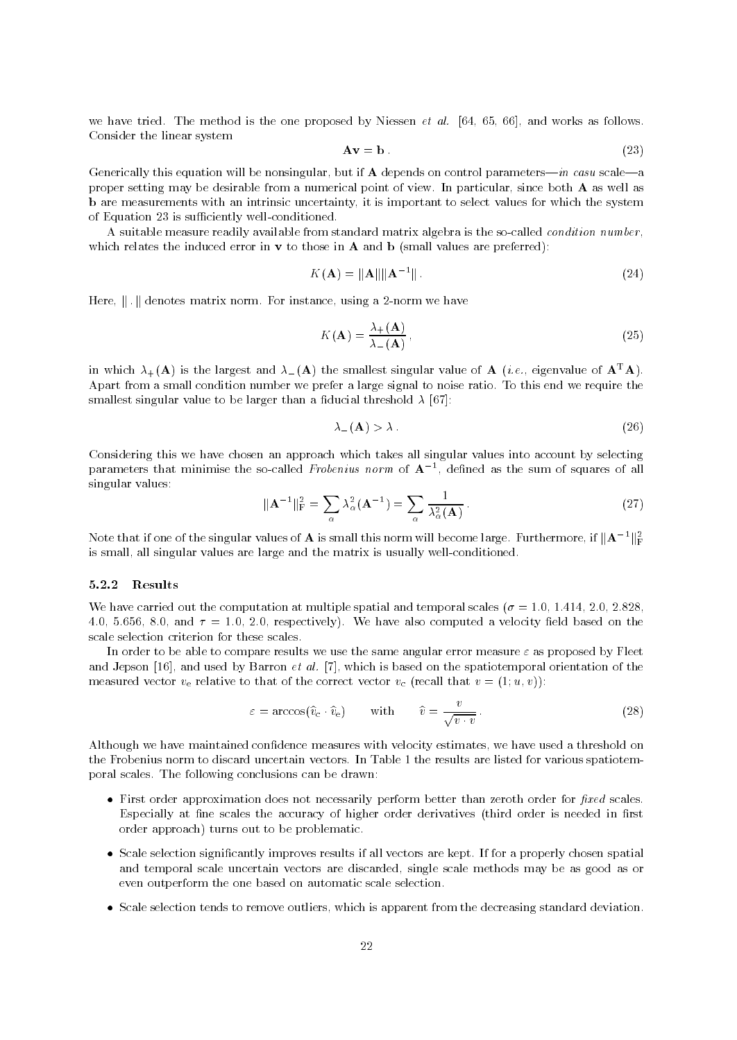we have tried. The method is the one proposed by Niessen *et al.* [64, 65, 66], and works as follows. Consider the linear system

$$
\mathbf{A}\mathbf{v} = \mathbf{b} \tag{23}
$$

Generically this equation will be nonsingular, but if **A** depends on control parameters—in casu scale—a proper setting may be desirable from a numerical point of view. In particular, since both A as well as b are measurements with an intrinsic uncertainty, it is important to select values for which the system of Equation 23 is sufficiently well-conditioned.

A suitable measure readily available from standard matrix algebra is the so-called *condition number*, which relates the induced error in  $\bf{v}$  to those in  $\bf{A}$  and  $\bf{b}$  (small values are preferred):

$$
K(\mathbf{A}) = \|\mathbf{A}\| \|\mathbf{A}^{-1}\|.
$$
\n(24)

Here,  $\| \cdot \|$  denotes matrix norm. For instance, using a 2-norm we have

$$
K(\mathbf{A}) = \frac{\lambda_+(\mathbf{A})}{\lambda_-(\mathbf{A})},\tag{25}
$$

in which  $\lambda_+(\mathbf{A})$  is the largest and  $\lambda_-(\mathbf{A})$  the smallest singular value of  $\mathbf{A}$  (*i.e.*, eigenvalue of  $\mathbf{A}^T\mathbf{A}$ ). Apart from a small condition number we prefer a large signal to noise ratio. To this end we require the smallest singular value to be larger than a fiducial threshold  $\lambda$  [67]:

$$
\lambda_{-}(\mathbf{A}) > \lambda \tag{26}
$$

Considering this we have chosen an approach which takes all singular values into account by selecting parameters that minimise the so-called *Frobenius norm* of  ${\bf A}^{-1}$ , defined as the sum of squares of all singular values:

$$
\|\mathbf{A}^{-1}\|_{\mathrm{F}}^2 = \sum_{\alpha} \lambda_{\alpha}^2 (\mathbf{A}^{-1}) = \sum_{\alpha} \frac{1}{\lambda_{\alpha}^2 (\mathbf{A})} \,. \tag{27}
$$

Note that if one of the singular values of **A** is small this norm will become large. Furthermore, if  $\|\mathbf{A}^{-1}\|_{\mathbf{F}}^2$ is small, all singular values are large and the matrix is usually well-conditioned.

#### 5.2.2 Results

We have carried out the computation at multiple spatial and temporal scales ( $\sigma = 1.0, 1.414, 2.0, 2.828$ , 4.0, 5.656, 8.0, and  $\tau = 1.0$ , 2.0, respectively). We have also computed a velocity field based on the scale selection criterion for these scales.

In order to be able to compare results we use the same angular error measure  $\varepsilon$  as proposed by Fleet and Jepson  $[16]$ , and used by Barron *et al.*  $[7]$ , which is based on the spatiotemporal orientation of the measured vector  $v_e$  relative to that of the correct vector  $v_c$  (recall that  $v = (1; u, v)$ ):

$$
\varepsilon = \arccos(\hat{v}_c \cdot \hat{v}_e) \qquad \text{with} \qquad \hat{v} = \frac{v}{\sqrt{v \cdot v}}.
$$
\n(28)

Although we have maintained confidence measures with velocity estimates, we have used a threshold on the Frobenius norm to discard uncertain vectors. In Table 1 the results are listed for various spatiotemporal scales. The following conclusions can be drawn:

- $\bullet$  First order approximation does not necessarily perform better than zeroth order for fixed scales. Especially at fine scales the accuracy of higher order derivatives (third order is needed in first order approach) turns out to be problematic.
- Scale selection signicantly improves results if all vectors are kept. If for a properly chosen spatial and temporal scale uncertain vectors are discarded, single scale methods may be as good as or even outperform the one based on automatic scale selection.
- Scale selection tends to remove outliers, which is apparent from the decreasing standard deviation.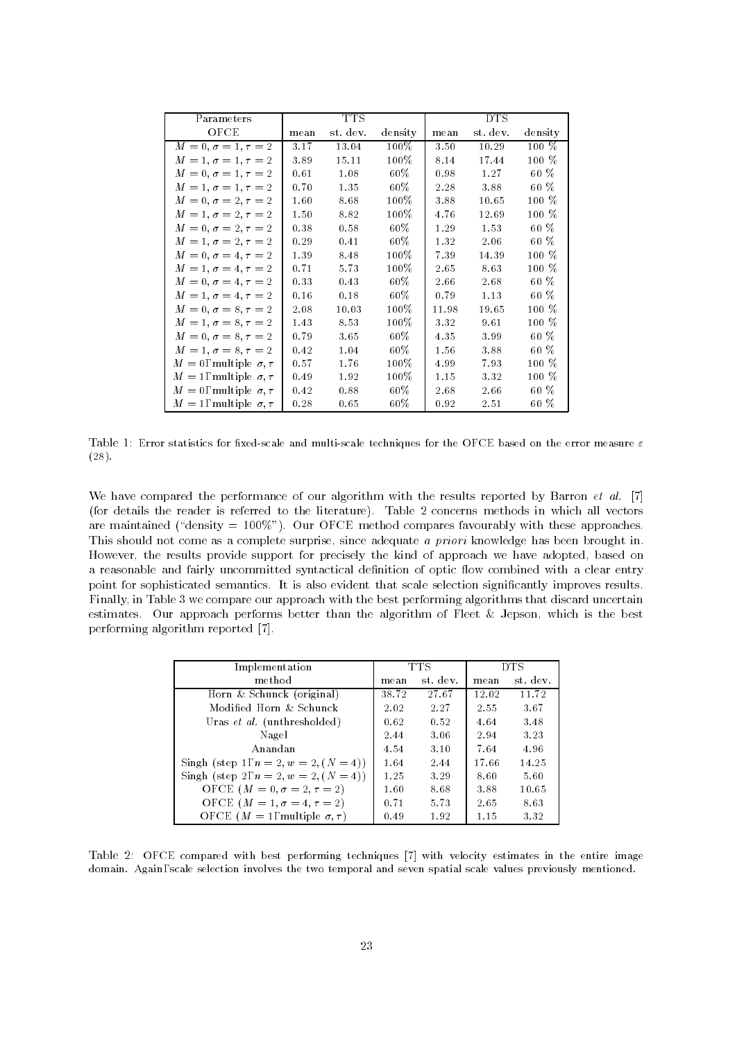| Parameters                      | <b>TTS</b> |          |         | <b>DTS</b> |          |            |  |
|---------------------------------|------------|----------|---------|------------|----------|------------|--|
| OFCE                            | mean       | st. dev. | density | mean       | st. dev. | density    |  |
| $M = 0, \sigma = 1, \tau = 2$   | 3.17       | 13.04    | $100\%$ | 3.50       | 10.29    | $100\%$    |  |
| $M = 1, \sigma = 1, \tau = 2$   | 3.89       | 15.11    | $100\%$ | 8.14       | 17.44    | $100\%$    |  |
| $M = 0, \sigma = 1, \tau = 2$   | 0.61       | 1.08     | $60\%$  | 0.98       | 1.27     | $60\%$     |  |
| $M = 1, \sigma = 1, \tau = 2$   | 0.70       | 1.35     | $60\%$  | 2.28       | 3.88     | 60 %       |  |
| $M = 0, \sigma = 2, \tau = 2$   | 1.60       | 8.68     | $100\%$ | 3.88       | 10.65    | $100\%$    |  |
| $M = 1, \sigma = 2, \tau = 2$   | 1.50       | 8.82     | $100\%$ | 4.76       | 12.69    | $100 \, %$ |  |
| $M = 0, \sigma = 2, \tau = 2$   | 0.38       | 0.58     | $60\%$  | 1.29       | 1.53     | 60 %       |  |
| $M = 1, \sigma = 2, \tau = 2$   | 0.29       | 0.41     | $60\%$  | 1.32       | 2.06     | 60 %       |  |
| $M = 0, \sigma = 4, \tau = 2$   | 1.39       | 8.48     | $100\%$ | 7.39       | 14.39    | $100\%$    |  |
| $M = 1, \sigma = 4, \tau = 2$   | 0.71       | 5.73     | $100\%$ | 2.65       | 8.63     | $100 \, %$ |  |
| $M = 0, \sigma = 4, \tau = 2$   | 0.33       | 0.43     | $60\%$  | 2.66       | 2.68     | 60 %       |  |
| $M = 1, \sigma = 4, \tau = 2$   | 0.16       | 0.18     | $60\%$  | 0.79       | 1.13     | 60 %       |  |
| $M = 0, \sigma = 8, \tau = 2$   | 2.08       | 10.03    | $100\%$ | 11.98      | 19.65    | $100\%$    |  |
| $M = 1, \sigma = 8, \tau = 2$   | 1.43       | 8.53     | $100\%$ | 3.32       | 9.61     | $100 \, %$ |  |
| $M = 0, \sigma = 8, \tau = 2$   | 0.79       | 3.65     | 60\%    | 4.35       | 3.99     | 60 %       |  |
| $M = 1, \sigma = 8, \tau = 2$   | 0.42       | 1.04     | $60\%$  | 1.56       | 3.88     | $60\%$     |  |
| $M=0$ , multiple $\sigma, \tau$ | 0.57       | 1.76     | $100\%$ | 4.99       | 7.93     | $100\%$    |  |
| $M=1$ , multiple $\sigma, \tau$ | 0.49       | 1.92     | $100\%$ | 1.15       | 3.32     | $100 \, %$ |  |
| $M=0$ , multiple $\sigma, \tau$ | 0.42       | 0.88     | 60\%    | 2.68       | 2.66     | 60 %       |  |
| $M=1$ , multiple $\sigma, \tau$ | 0.28       | 0.65     | $60\%$  | 0.92       | 2.51     | 60 %       |  |

Table 1: Error statistics for fixed-scale and multi-scale techniques for the OFCE based on the error measure  $\varepsilon$ (28).

We have compared the performance of our algorithm with the results reported by Barron  $et \ al.$  [7] (for details the reader is referred to the literature). Table 2 concerns methods in which all vectors are maintained ("density =  $100\%$ "). Our OFCE method compares favourably with these approaches. This should not come as a complete surprise, since adequate a priori knowledge has been brought in. However, the results provide support for precisely the kind of approach we have adopted, based on a reasonable and fairly uncommitted syntactical definition of optic flow combined with a clear entry point for sophisticated semantics. It is also evident that scale selection signicantly improves results. Finally, in Table 3 we compare our approach with the best performing algorithms that discard uncertain estimates. Our approach performs better than the algorithm of Fleet & Jepson, which is the best performing algorithm reported [7].

| Implementation                            |       | TTS      | DTS   |          |  |
|-------------------------------------------|-------|----------|-------|----------|--|
| method                                    | mean  | st. dev. | mean  | st. dev. |  |
| Horn & Schunck (original)                 | 38.72 | 27.67    | 12.02 | 11.72    |  |
| Modified Horn & Schunck                   | 2.02  | 2.27     | 2.55  | 3.67     |  |
| Uras et al. (unthresholded)               | 0.62  | 0.52     | 4.64  | 3.48     |  |
| Nagel                                     | 2.44  | 3.06     | 2.94  | 3.23     |  |
| Anandan                                   | 4.54  | 3 10     | 7.64  | 4.96     |  |
| Singh (step 1, $n = 2, w = 2, (N = 4)$ )  | 1.64  | 2.44     | 17.66 | 14.25    |  |
| Singh (step 2, $n = 2, w = 2, (N = 4)$ )  | 1.25  | 3 29     | 8.60  | 5.60     |  |
| OFCE $(M = 0, \sigma = 2, \tau = 2)$      | 1.60  | 8.68     | 3.88  | 10.65    |  |
| OFCE $(M = 1, \sigma = 4, \tau = 2)$      | 0.71  | 573      | 2.65  | 8.63     |  |
| OFCE $(M = 1$ , multiple $\sigma, \tau$ ) | 0.49  | 1.92     | 1.15  | 3.32     |  |

Table 2: OFCE compared with best performing techniques [7] with velocity estimates in the entire image domain. Again, scale selection involves the two temporal and seven spatial scale values previously mentioned.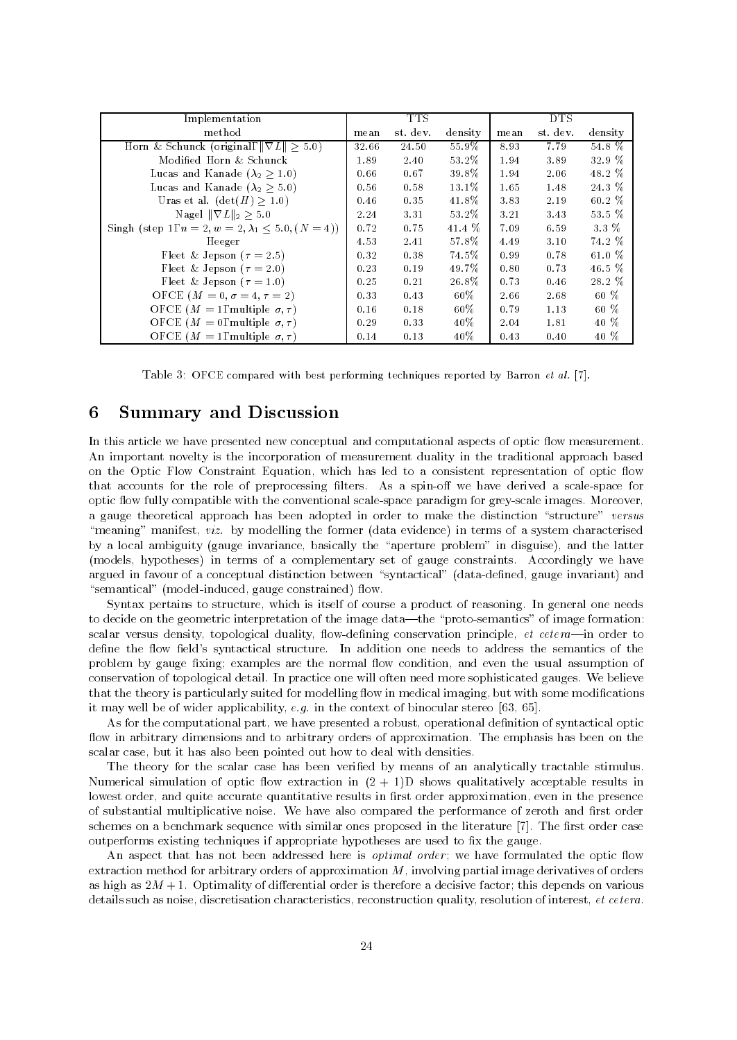| Implementation                                            |      | <b>TTS</b> |          |      | DTS.     |          |  |
|-----------------------------------------------------------|------|------------|----------|------|----------|----------|--|
| method                                                    |      | st. dev.   | density  | mean | st. dev. | density  |  |
| Horn & Schunck (original, $\ \nabla L\  \geq 5.0$ )       |      | 24.50      | $55.9\%$ | 8.93 | 7.79     | 54.8 %   |  |
| Modified Horn & Schunck                                   |      | 2.40       | $53.2\%$ | 1.94 | 3.89     | 32.9 %   |  |
| Lucas and Kanade ( $\lambda_2 > 1.0$ )                    |      | 0.67       | 39.8%    | 1.94 | 2.06     | 48.2 %   |  |
| Lucas and Kanade ( $\lambda_2 > 5.0$ )                    | 0.56 | 0.58       | $13.1\%$ | 1.65 | 1.48     | 24.3 %   |  |
| Uras et al. $(\det(H) > 1.0)$                             | 0.46 | 0.35       | 41.8%    | 3.83 | 2.19     | 60.2%    |  |
| Nagel $\ \nabla L\ _2 > 5.0$                              | 2.24 | 3.31       | 53.2%    | 3.21 | 3.43     | $53.5\%$ |  |
| Singh (step 1, $n = 2, w = 2, \lambda_1 < 5.0, (N = 4)$ ) | 0.72 | 0.75       | 41.4 %   | 7.09 | 6.59     | $3.3\%$  |  |
| Heeger                                                    | 4.53 | 2.41       | $57.8\%$ | 4.49 | 3.10     | 74.2 %   |  |
| Fleet & Jepson $(\tau = 2.5)$                             | 0.32 | 0.38       | 74.5%    | 0.99 | 0.78     | 61.0%    |  |
| Fleet & Jepson $(\tau = 2.0)$                             | 0.23 | 0.19       | 49.7%    | 0.80 | 0.73     | 46.5 $%$ |  |
| Fleet & Jepson $(\tau = 1.0)$                             | 0.25 | 0.21       | 26.8%    | 0.73 | 0.46     | 28.2 %   |  |
| OFCE $(M = 0, \sigma = 4, \tau = 2)$                      | 0.33 | 0.43       | $60\%$   | 2.66 | 2.68     | $60\%$   |  |
| OFCE $(M = 1$ , multiple $\sigma, \tau$ )                 | 0.16 | 0.18       | $60\%$   | 0.79 | 1.13     | $60\%$   |  |
| OFCE $(M = 0$ , multiple $\sigma, \tau$ )                 |      | 0.33       | $40\%$   | 2.04 | 1.81     | 40 %     |  |
| OFCE ( $M = 1$ , multiple $\sigma$ , $\tau$ )             |      | 0.13       | $40\%$   | 0.43 | 0.40     | 40 %     |  |

Table 3: OFCE compared with best performing techniques reported by Barron et al. [7].

# 6 Summary and Discussion

In this article we have presented new conceptual and computational aspects of optic flow measurement. An important novelty is the incorporation of measurement duality in the traditional approach based on the Optic Flow Constraint Equation, which has led to a consistent representation of optic flow that accounts for the role of preprocessing filters. As a spin-off we have derived a scale-space for optic flow fully compatible with the conventional scale-space paradigm for grey-scale images. Moreover, a gauge theoretical approach has been adopted in order to make the distinction "structure" versus "meaning" manifest, *viz.* by modelling the former (data evidence) in terms of a system characterised by a local ambiguity (gauge invariance, basically the "aperture problem" in disguise), and the latter (models, hypotheses) in terms of a complementary set of gauge constraints. Accordingly we have argued in favour of a conceptual distinction between "syntactical" (data-defined, gauge invariant) and "semantical" (model-induced, gauge constrained) flow.

Syntax pertains to structure, which is itself of course a product of reasoning. In general one needs to decide on the geometric interpretation of the image data—the "proto-semantics" of image formation: scalar versus density, topological duality, flow-defining conservation principle, et cetera—in order to define the flow field's syntactical structure. In addition one needs to address the semantics of the problem by gauge fixing; examples are the normal flow condition, and even the usual assumption of conservation of topological detail. In practice one will often need more sophisticated gauges. We believe that the theory is particularly suited for modelling flow in medical imaging, but with some modifications it may well be of wider applicability, e.g. in the context of binocular stereo [63, 65].

As for the computational part, we have presented a robust, operational definition of syntactical optic flow in arbitrary dimensions and to arbitrary orders of approximation. The emphasis has been on the scalar case, but it has also been pointed out how to deal with densities.

The theory for the scalar case has been verified by means of an analytically tractable stimulus. Numerical simulation of optic flow extraction in  $(2 + 1)D$  shows qualitatively acceptable results in lowest order, and quite accurate quantitative results in first order approximation, even in the presence of substantial multiplicative noise. We have also compared the performance of zeroth and first order schemes on a benchmark sequence with similar ones proposed in the literature [7]. The first order case outperforms existing techniques if appropriate hypotheses are used to fix the gauge.

An aspect that has not been addressed here is *optimal order*; we have formulated the optic flow extraction method for arbitrary orders of approximation M, involving partial image derivatives of orders as high as  $2M + 1$ . Optimality of differential order is therefore a decisive factor; this depends on various details such as noise, discretisation characteristics, reconstruction quality, resolution of interest, et cetera.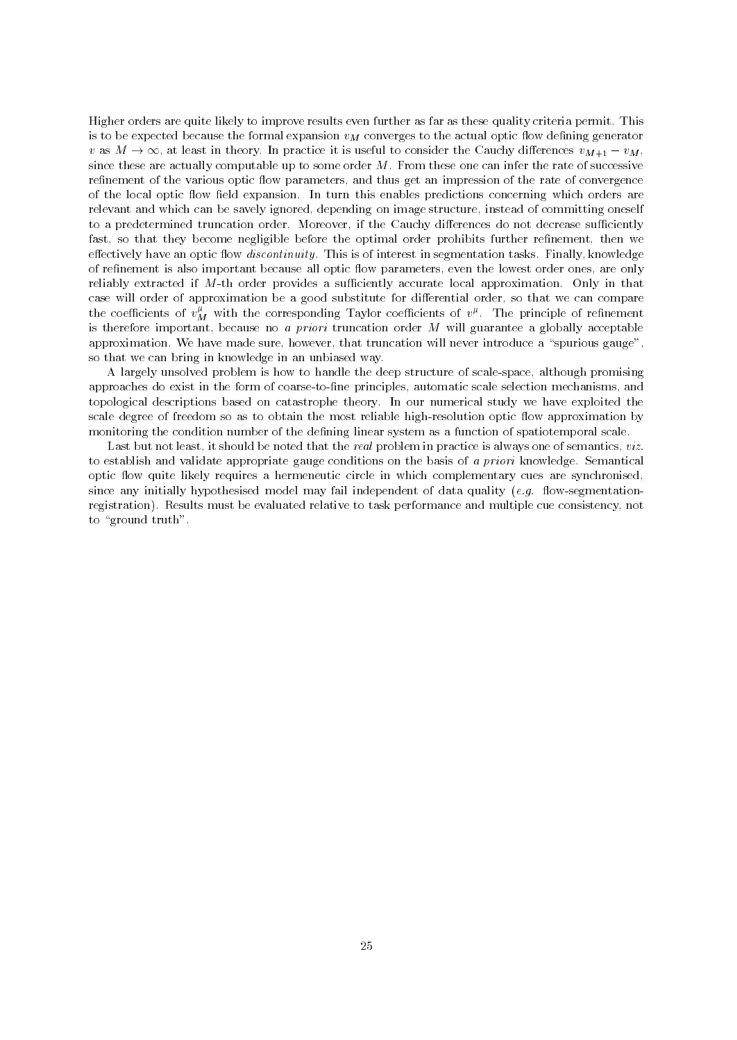Higher orders are quite likely to improve results even further as far as these quality criteria permit. This is to be expected because the formal expansion  $v_M$  converges to the actual optic flow defining generator v as  $M \to \infty$ , at least in theory. In practice it is useful to consider the Cauchy differences  $v_{M+1} - v_M$ , since these are actually computable up to some order  $M$ . From these one can infer the rate of successive refinement of the various optic flow parameters, and thus get an impression of the rate of convergence of the local optic flow field expansion. In turn this enables predictions concerning which orders are relevant and which can be savely ignored, depending on image structure, instead of committing oneself to a predetermined truncation order. Moreover, if the Cauchy differences do not decrease sufficiently fast, so that they become negligible before the optimal order prohibits further refinement, then we effectively have an optic flow *discontinuity*. This is of interest in segmentation tasks. Finally, knowledge of refinement is also important because all optic flow parameters, even the lowest order ones, are only reliably extracted if  $M$ -th order provides a sufficiently accurate local approximation. Only in that case will order of approximation be a good substitute for differential order, so that we can compare the coefficients of  $v_M^r$  with the corresponding Taylor coefficients of  $v^\mu$ . The principle of refinement is therefore important, because no a priori truncation order  $M$  will guarantee a globally acceptable approximation. We have made sure, however, that truncation will never introduce a "spurious gauge". so that we can bring in knowledge in an unbiased way.

A largely unsolved problem is how to handle the deep structure of scale-space, although promising approaches do exist in the form of coarse-to-fine principles, automatic scale selection mechanisms, and topological descriptions based on catastrophe theory. In our numerical study we have exploited the scale degree of freedom so as to obtain the most reliable high-resolution optic flow approximation by monitoring the condition number of the defining linear system as a function of spatiotemporal scale.

Last but not least, it should be noted that the real problem in practice is always one of semantics, viz. to establish and validate appropriate gauge conditions on the basis of a priori knowledge. Semantical optic flow quite likely requires a hermeneutic circle in which complementary cues are synchronised, since any initially hypothesised model may fail independent of data quality (e.g. flow-segmentationregistration). Results must be evaluated relative to task performance and multiple cue consistency, not to "ground truth".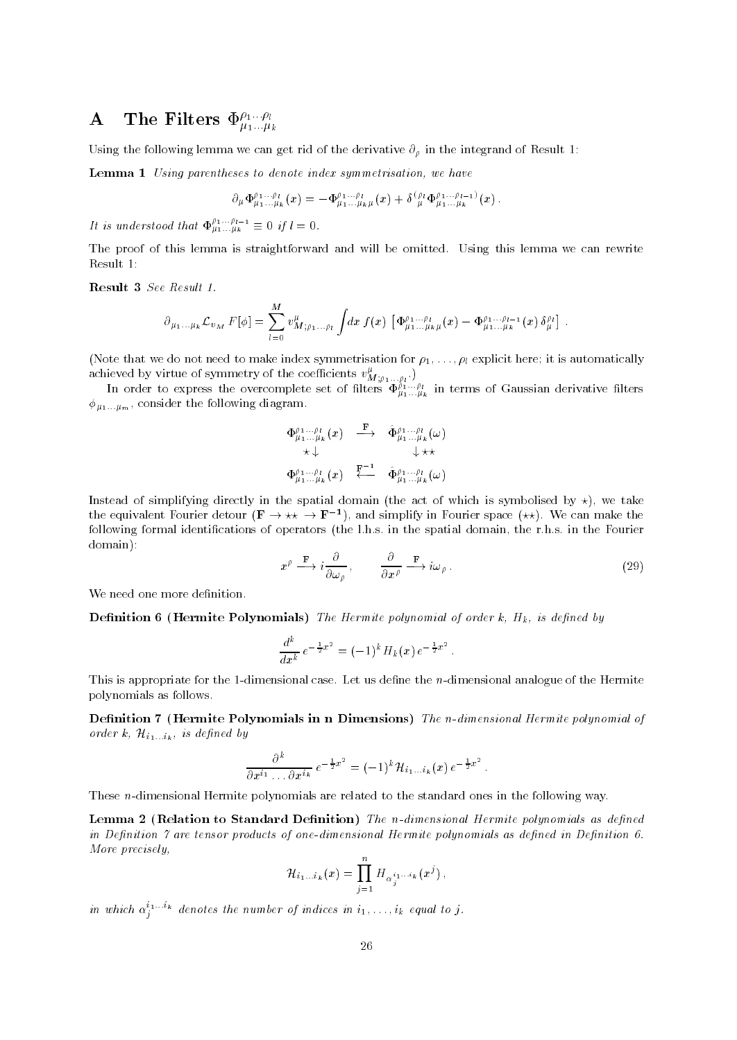# A line rillers  $\Psi_{\mu_1...\mu_k}^{r_1...r_k}$

Using the following lemma we can get rid of the derivative  $\partial_{\rho}$  in the integrand of Result 1:

Lemma 1 Using parentheses to denote index symmetrisation, we have

$$
\partial_{\mu} \Phi^{\rho_1...\rho_l}_{\mu_1...\mu_k}(x) = -\Phi^{\rho_1...\rho_l}_{\mu_1...\mu_k\mu}(x) + \delta^{\left(\rho_l \atop \mu \right.} \Phi^{\rho_1...\rho_{l-1}\right)}_{\mu_1...\mu_k}(x) .
$$

It is understood that  $\Phi_{\mu_1\ldots\mu_k}^{r_1\ldots r_k} \equiv 0$  if  $l = 0$ .

The proof of this lemma is straightforward and will be omitted. Using this lemma we can rewrite

Result 3 See Result 1.

$$
\partial_{\mu_1\ldots\mu_k} \mathcal{L}_{v_M} F[\phi] = \sum_{l=0}^M v^{\mu}_{M;\rho_1\ldots\rho_l} \int\!\!dx\, f(x) \, \left[\Phi^{\rho_1\ldots\rho_l}_{\mu_1\ldots\mu_k\mu}(x) - \Phi^{\rho_1\ldots\rho_{l-1}}_{\mu_1\ldots\mu_k}(x)\,\delta^{\rho_l}_{\mu}\right]\;.
$$

(Note that we do not need to make index symmetrisation for  $\rho_1, \ldots, \rho_l$  explicit here; it is automatically achieved by virtue of symmetry of the coefficients  $v_{M\,|\,\rho_1\ldots \rho_l}^{\tau}$  .)

In order to express the overcomplete set of inters  $\Phi_{\mu_1...\mu_k}^{r_1...r_k}$  in terms of Gaussian derivative inters  $\phi_{\mu_1...\mu_m}$ , consider the following diagram.

$$
\begin{array}{ccc}\Phi_{\mu_1...\mu_k}^{\rho_1...\rho_l}(x)&\stackrel{\mathbf{F}}{\longrightarrow}&\hat{\Phi}_{\mu_1...\mu_k}^{\rho_1...\rho_l}(\omega)\\ \star\downarrow&&\downarrow\star\star\\ \Phi_{\mu_1...\mu_k}^{\rho_1...\rho_l}(x)&\stackrel{\mathbf{F}^{-1}}{\longleftarrow}&\hat{\Phi}_{\mu_1...\mu_k}^{\rho_1...\rho_l}(\omega)\end{array}
$$

Instead of simplifying directly in the spatial domain (the act of which is symbolised by  $\star$ ), we take the equivalent fourier detour ( $\bf r \to \star \star \to \bf r$  ), and simplify in fourier space ( $\star \star$ ). We can make the following formal identifications of operators (the l.h.s. in the spatial domain, the r.h.s. in the Fourier domain):

$$
x^{\rho} \stackrel{\mathbf{F}}{\longrightarrow} i \frac{\partial}{\partial \omega_{\rho}}, \qquad \frac{\partial}{\partial x^{\rho}} \stackrel{\mathbf{F}}{\longrightarrow} i \omega_{\rho} . \tag{29}
$$

We need one more definition.

**Definition 6 (Hermite Polynomials)** The Hermite polynomial of order  $k$ ,  $H_k$ , is defined by

$$
\frac{d^k}{dx^k} e^{-\frac{1}{2}x^2} = (-1)^k H_k(x) e^{-\frac{1}{2}x^2}.
$$

This is appropriate for the 1-dimensional case. Let us define the *n*-dimensional analogue of the Hermite polynomials as follows.

Definition 7 (Hermite Polynomials in n Dimensions) The n-dimensional Hermite polynomial of order k,  $\mathcal{H}_{i_1\ldots i_k}$ , is defined by

$$
\frac{\partial^k}{\partial x^{i_1} \dots \partial x^{i_k}} e^{-\frac{1}{2}x^2} = (-1)^k \mathcal{H}_{i_1 \dots i_k}(x) e^{-\frac{1}{2}x^2}.
$$

These n-dimensional Hermite polynomials are related to the standard ones in the following way.

Lemma 2 (Relation to Standard Definition) The n-dimensional Hermite polynomials as defined in Definition  $\gamma$  are tensor products of one-dimensional Hermite polynomials as defined in Definition 6. More precisely,

$$
\mathcal{H}_{i_1...i_k}(x) = \prod_{j=1}^n H_{\alpha_j^{i_1...i_k}}(x^j) ,
$$

in which  $\alpha_i^{i+ \cdots \kappa}$  denotes the number of indices in  $i_1,\ldots,i_k$  equal to j.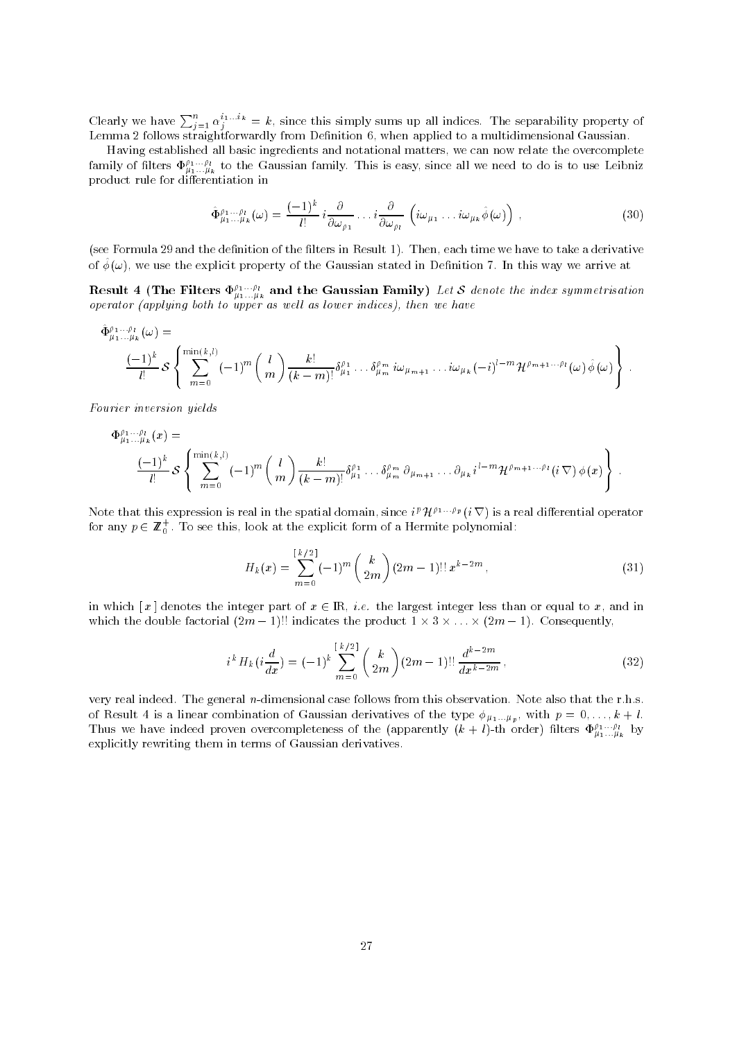Clearly we have  $\sum_{i=1}^n \alpha_i^{i_1...i_k} = k$ , since this simply sums up all indices. The separability property of Lemma 2 follows straightforwardly from Denition 6, when applied to a multidimensional Gaussian.

Having established all basic ingredients and notational matters, we can now relate the overcomplete tamily of inters  $\mathbf{\Psi}_{\mu_1...\mu_k}^{r}$  to the Gaussian family. This is easy, since all we need to do is to use Leibniz product rule for differentiation in

$$
\hat{\Phi}^{\rho_1...\rho_l}_{\mu_1...\mu_k}(\omega) = \frac{(-1)^k}{l!} i \frac{\partial}{\partial \omega_{\rho_1}} \dots i \frac{\partial}{\partial \omega_{\rho_l}} \left( i \omega_{\mu_1} \dots i \omega_{\mu_k} \hat{\phi}(\omega) \right) , \qquad (30)
$$

(see Formula 29 and the definition of the filters in Result 1). Then, each time we have to take a derivative of  $\varphi(\omega)$ , we use the explicit property of the Gaussian stated in Definition 1. In this way we arrive at

Result 4 (The Filters  $\Psi_{\mu_1...\mu_k}^{r}$  and the Gaussian Family) Let S denote the index symmetrisation operator (applying both to upper as well as lower indices), then we have

$$
\frac{\hat{\Phi}^{\rho_{1}\ldots\rho_{k}}_{\mu_{1}\ldots\mu_{k}}(\omega)}{l!} \mathcal{S} \left\{ \sum_{m=0}^{\min(k,l)} (-1)^{m} \binom{l}{m} \frac{k!}{(k-m)!} \delta^{\rho_{1}}_{\mu_{1}} \ldots \delta^{\rho_{m}}_{\mu_{m}} i\omega_{\mu_{m+1}} \ldots i\omega_{\mu_{k}} (-i)^{l-m} \mathcal{H}^{\rho_{m+1}\ldots\rho_{l}}(\omega) \hat{\phi}(\omega) \right\}.
$$

Fourier inversion yields

$$
\frac{(\ell-1)^k}{l!} \mathcal{S} \left\{ \sum_{m=0}^{\min(k,l)} (-1)^m \binom{l}{m} \frac{k!}{(k-m)!} \delta_{\mu_1}^{\rho_1} \dots \delta_{\mu_m}^{\rho_m} \partial_{\mu_{m+1}} \dots \partial_{\mu_k} i^{l-m} \mathcal{H}^{\rho_{m+1} \dots \rho_l} (i \nabla) \phi(x) \right\}.
$$

Note that this expression is real in the spatial domain, since  $i^p\mathcal{H}^{\rho_1...\rho_p}(i\nabla)$  is a real differential operator for any  $p \in \mathbb{Z}_0^+$  . To see this, look at the explicit form of a Hermite polynomial:

$$
H_k(x) = \sum_{m=0}^{\lfloor k/2 \rfloor} (-1)^m \binom{k}{2m} (2m-1)!! x^{k-2m}, \tag{31}
$$

in which  $[x]$  denotes the integer part of  $x \in \mathbb{R}$ , *i.e.* the largest integer less than or equal to x, and in which the double factorial (2m 1)!! indicates the product 1 - 3 - ::: - (2m 1). Consequently,

$$
i^{k}H_{k}(i\frac{d}{dx}) = (-1)^{k} \sum_{m=0}^{\lfloor k/2 \rfloor} {k \choose 2m} (2m-1)!! \frac{d^{k-2m}}{dx^{k-2m}},
$$
\n(32)

very real indeed. The general *n*-dimensional case follows from this observation. Note also that the r.h.s. of Result 4 is a linear combination of Gaussian derivatives of the type  $\phi_{\mu_1... \mu_p}$ , with  $p = 0, \ldots, k + l$ . Thus we have indeed proven overcompleteness of the (apparently  $(k + i)$ -th order) filters  $\Psi_{\mu_1...\mu_k}^{\rm true}$  by explicitly rewriting them in terms of Gaussian derivatives.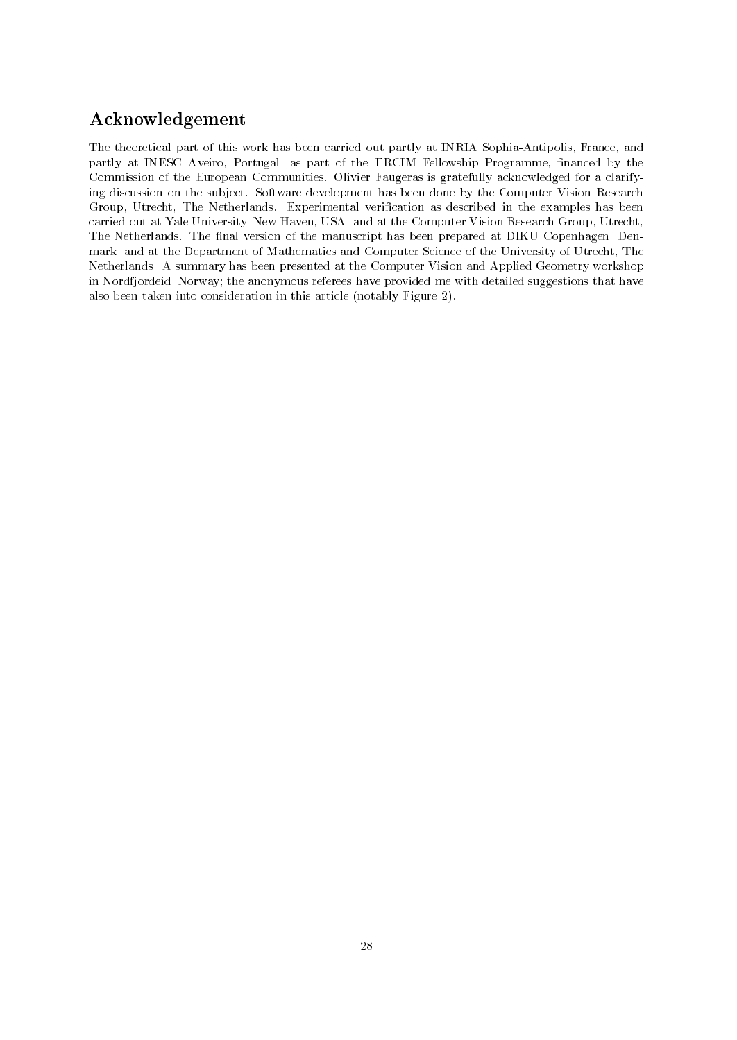# Acknowledgement

The theoretical part of this work has been carried out partly at INRIA Sophia-Antipolis, France, and partly at INESC Aveiro, Portugal, as part of the ERCIM Fellowship Programme, financed by the Commission of the European Communities. Olivier Faugeras is gratefully acknowledged for a clarifying discussion on the subject. Software development has been done by the Computer Vision Research Group, Utrecht, The Netherlands. Experimental verification as described in the examples has been carried out at Yale University, New Haven, USA, and at the Computer Vision Research Group, Utrecht, The Netherlands. The final version of the manuscript has been prepared at DIKU Copenhagen, Denmark, and at the Department of Mathematics and Computer Science of the University of Utrecht, The Netherlands. A summary has been presented at the Computer Vision and Applied Geometry workshop in Nordfjordeid, Norway; the anonymous referees have provided me with detailed suggestions that have also been taken into consideration in this article (notably Figure 2).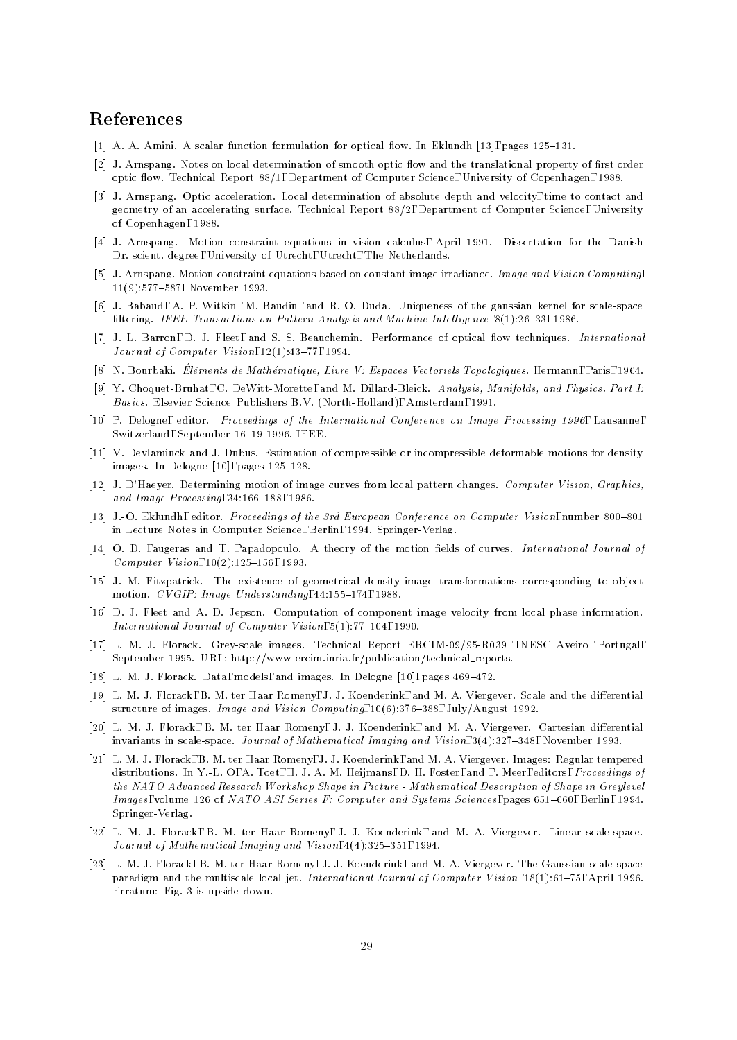# References

- [1] A. A. Amini. A scalar function formulation for optical flow. In Eklundh [13], pages  $125{-}131$ .
- [2] J. Arnspang. Notes on local determination of smooth optic flow and the translational property of first order optic flow. Technical Report 88/1, Department of Computer Science, University of Copenhagen, 1988.
- [3] J. Arnspang. Optic acceleration. Local determination of absolute depth and velocity, time to contact and geometry of an accelerating surface. Technical Report 88/2, Department of Computer Science, University of Copenhagen, 1988.
- [4] J. Arnspang. Motion constraint equations in vision calculus, April 1991. Dissertation for the Danish Dr. scient. degree, University of Utrecht, Utrecht, The Netherlands.
- [5] J. Arnspang. Motion constraint equations based on constant image irradiance. Image and Vision Computing, 11(9):577-587, November 1993.
- [6] J. Babaud, A. P. Witkin, M. Baudin, and R. O. Duda. Uniqueness of the gaussian kernel for scale-space filtering. IEEE Transactions on Pattern Analysis and Machine Intelligence, 8(1):26-33, 1986.
- [7] J. L. Barron, D. J. Fleet, and S. S. Beauchemin. Performance of optical flow techniques. International Journal of Computer Vision,  $12(1):43-77$ , 1994.
- [0] IV. Dourbaki. *Elements de Mathematique, Livre V. Espaces Vectoriels Topologiques.* Hermann, Paris, 1964. —
- [9] Y. Choquet-Bruhat, C. DeWitt-Morette, and M. Dillard-Bleick. Analysis, Manifolds, and Physics. Part I: Basics. Elsevier Science Publishers B.V. (North-Holland), Amsterdam, 1991.
- [10] P. Delogne, editor. Proceedings of the International Conference on Image Processing 1996, Lausanne, Switzerland, September 16-19 1996. IEEE.
- [11] V. Devlaminck and J. Dubus. Estimation of compressible or incompressible deformable motions for density images. In Delogne  $[10]$ , pages  $125-128$ .
- [12] J. D'Haeyer. Determining motion of image curves from local pattern changes. Computer Vision, Graphics, and Image Processing,  $34:166-188$ ,  $1986$ .
- [13] J.-O. Eklundh, editor. *Proceedings of the 3rd European Conference on Computer Vision*, number 800-801 in Lecture Notes in Computer Science, Berlin, 1994. Springer-Verlag.
- [14] O. D. Faugeras and T. Papadopoulo. A theory of the motion fields of curves. International Journal of Computer Vision,  $10(2):125{-}156, 1993$ .
- [15] J. M. Fitzpatrick. The existence of geometrical density-image transformations corresponding to object motion. CVGIP: Image Understanding, 44:155-174, 1988.
- [16] D. J. Fleet and A. D. Jepson. Computation of component image velocity from local phase information. International Journal of Computer Vision,  $5(1)$ :77-104, 1990.
- [17] L. M. J. Florack. Grey-scale images. Technical Report ERCIM-09/95-R039, INESC Aveiro, Portugal, September 1995. URL: http://www-ercim.inria.fr/publication/technical reports.
- [18] L. M. J. Florack. Data, models, and images. In Delogne [10], pages 469-472.
- [19] L. M. J. Florack, B. M. ter Haar Romeny, J. J. Koenderink, and M. A. Viergever. Scale and the differential structure of images. Image and Vision Computing,  $10(6):376{-}388$ , July/August 1992.
- [20] L. M. J. Florack, B. M. ter Haar Romeny, J. J. Koenderink, and M. A. Viergever. Cartesian differential invariants in scale-space. Journal of Mathematical Imaging and Vision,  $3(4):327-348$ , November 1993.
- [21] L. M. J. Florack, B. M. ter Haar Romeny, J. J. Koenderink, and M. A. Viergever. Images: Regular tempered distributions. In Y.-L. O, A. Toet, H. J. A. M. Heijmans, D. H. Foster, and P. Meer, editors, Proceedings of the NATO Advanced Research Workshop Shape in Picture - Mathematical Description of Shape in Greylevel Images, volume 126 of NATO ASI Series F: Computer and Systems Sciences, pages 651-660, Berlin, 1994. Springer-Verlag.
- [22] L. M. J. Florack, B. M. ter Haar Romeny, J. J. Koenderink, and M. A. Viergever. Linear scale-space. Journal of Mathematical Imaging and Vision,  $4(4):325{-}351$ , 1994.
- [23] L. M. J. Florack, B. M. ter Haar Romeny, J. J. Koenderink, and M. A. Viergever. The Gaussian scale-space paradigm and the multiscale local jet. International Journal of Computer Vision, 18(1):61-75, April 1996. Erratum: Fig. 3 is upside down.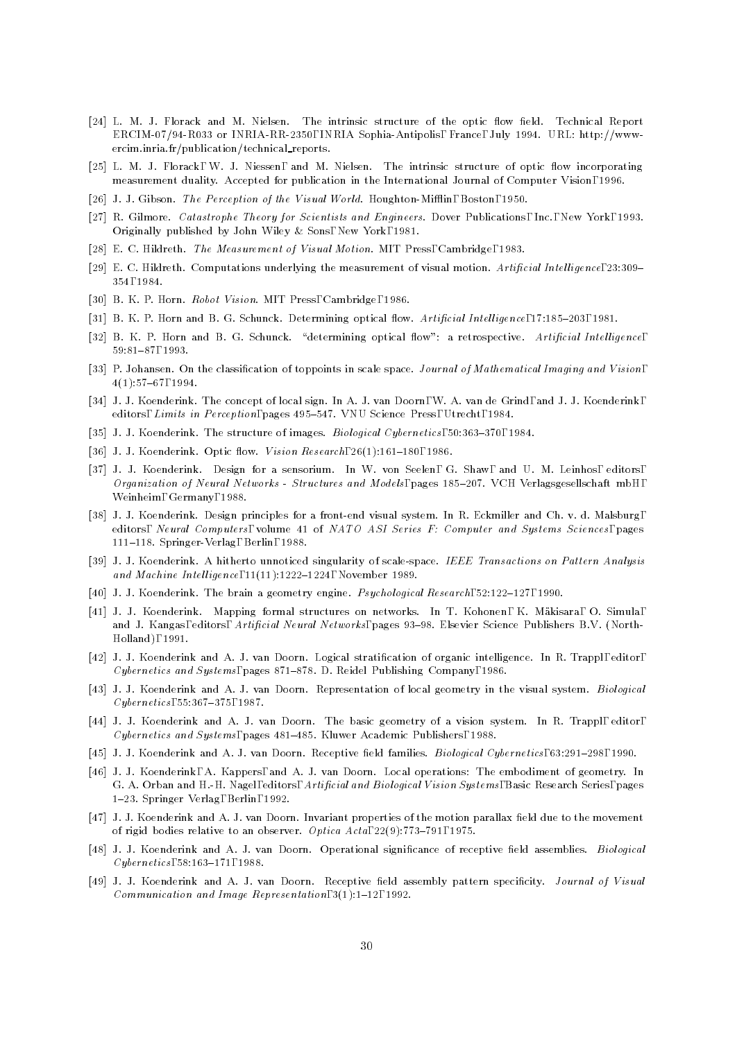- [24] L. M. J. Florack and M. Nielsen. The intrinsic structure of the optic flow field. Technical Report ERCIM-07/94-R033 or INRIA-RR-2350, INRIA Sophia-Antipolis, France, July 1994. URL: http://wwwercim.inria.fr/publication/technical reports.
- [25] L. M. J. Florack, W. J. Niessen, and M. Nielsen. The intrinsic structure of optic flow incorporating measurement duality. Accepted for publication in the International Journal of Computer Vision, 1996.
- [26] J. J. Gibson. The Perception of the Visual World. Houghton-Mifflin, Boston, 1950.
- [27] R. Gilmore. Catastrophe Theory for Scientists and Engineers. Dover Publications, Inc., New York, 1993. Originally published by John Wiley & Sons, New York, 1981.
- [28] E. C. Hildreth. The Measurement of Visual Motion. MIT Press, Cambridge, 1983.
- [29] E. C. Hildreth. Computations underlying the measurement of visual motion. Artificial Intelligence, 23:309-354, 1984.
- [30] B. K. P. Horn. Robot Vision. MIT Press, Cambridge, 1986.
- [31] B. K. P. Horn and B. G. Schunck. Determining optical flow. Artificial Intelligence, 17:185-203, 1981.
- [32] B. K. P. Horn and B. G. Schunck. "determining optical flow": a retrospective. Artificial Intelligence,  $59:81 - 87$ . 1993. 59:81{87, 1993.
- [33] P. Johansen. On the classification of toppoints in scale space. Journal of Mathematical Imaging and Vision,  $4(1):57{-}67, 1994.$
- [34] J. J. Koenderink. The concept of local sign. In A. J. van Doorn, W. A. van de Grind, and J. J. Koenderink, editors, Limits in Perception, pages 495-547. VNU Science Press, Utrecht, 1984.
- [35] J. J. Koenderink. The structure of images. Biological Cybernetics, 50:363-370, 1984.
- [36] J. J. Koenderink. Optic flow. Vision Research, 26(1):161-180, 1986.
- [37] J. J. Koenderink. Design for a sensorium. In W. von Seelen, G. Shaw, and U. M. Leinhos, editors, Organization of Neural Networks - Structures and Models, pages 185-207. VCH Verlagsgesellschaft mbH, Weinheim, Germany, 1988.
- [38] J. J. Koenderink. Design principles for a front-end visual system. In R. Eckmiller and Ch. v. d. Malsburg, editors, Neural Computers, volume 41 of NATO ASI Series F: Computer and Systems Sciences, pages 111{118. Springer-Verlag, Berlin, 1988.
- [39] J. J. Koenderink. A hitherto unnoticed singularity of scale-space. IEEE Transactions on Pattern Analysis and Machine Intelligence,  $11(11):1222{-}1224$ , November 1989.
- [40] J. J. Koenderink. The brain a geometry engine. Psychological Research, 52:122-127, 1990.
- [41] J. J. Koenderink. Mapping formal structures on networks. In T. Kohonen, K. Makisara, O. Simula, and J. Kangas, editors, Artificial Neural Networks, pages 93-98. Elsevier Science Publishers B.V. (North-Holland), 1991.
- [42] J. J. Koenderink and A. J. van Doorn. Logical stratification of organic intelligence. In R. Trappl, editor, Cybernetics and Systems, pages 871-878. D. Reidel Publishing Company, 1986.
- [43] J. J. Koenderink and A. J. van Doorn. Representation of local geometry in the visual system. Biological  $Cybernetics, 55:367–375, 1987.$
- [44] J. J. Koenderink and A. J. van Doorn. The basic geometry of a vision system. In R. Trappl, editor, Cybernetics and Systems, pages 481-485. Kluwer Academic Publishers, 1988.
- [45] J. J. Koenderink and A. J. van Doorn. Receptive field families. Biological Cybernetics, 63:291-298, 1990.
- [46] J. J. Koenderink, A. Kappers, and A. J. van Doorn. Local operations: The embodiment of geometry. In G. A. Orban and H.-H. Nagel, editors, Artificial and Biological Vision Systems, Basic Research Series, pages 1{23. Springer Verlag, Berlin, 1992.
- [47] J. J. Koenderink and A. J. van Doorn. Invariant properties of the motion parallax field due to the movement of rigid bodies relative to an observer. Optica Acta,  $22(9)$ :773-791, 1975.
- [48] J. J. Koenderink and A. J. van Doorn. Operational significance of receptive field assemblies. *Biological*  $Cybernetics, 58:163-171, 1988.$
- [49] J. J. Koenderink and A. J. van Doorn. Receptive field assembly pattern specificity. Journal of Visual Communication and Image Representation,  $3(1):1-12$ , 1992.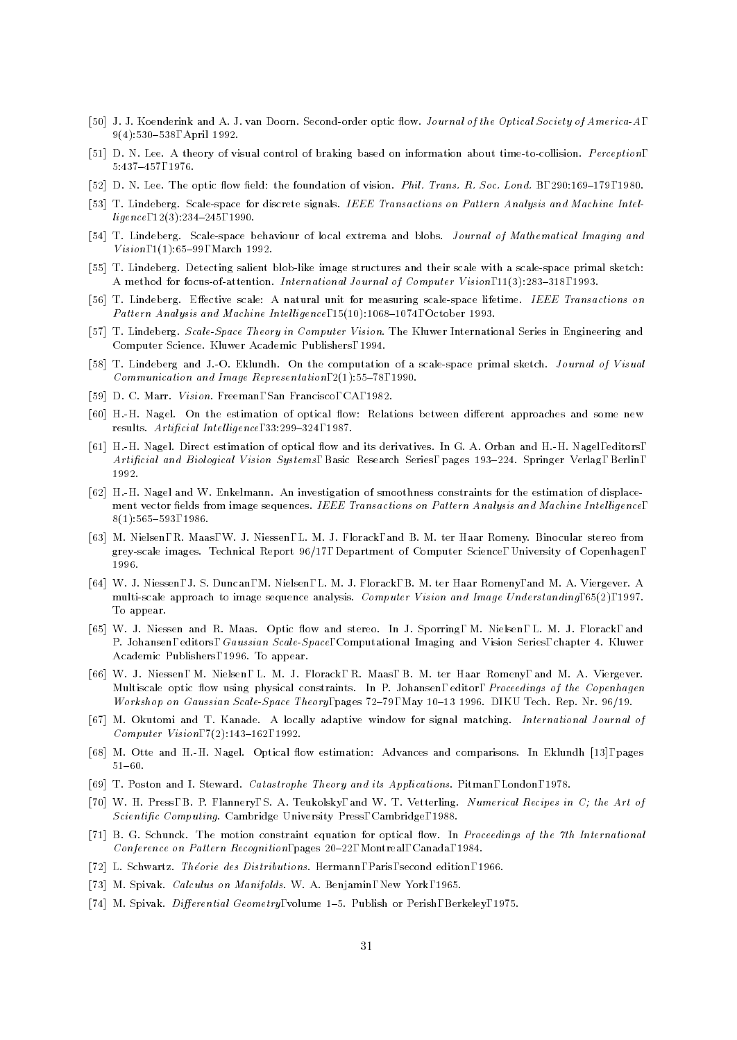- [50] J. J. Koenderink and A. J. van Doorn. Second-order optic flow. Journal of the Optical Society of America-A,  $9(4):530-538$ , April 1992.
- [51] D. N. Lee. A theory of visual control of braking based on information about time-to-collision. Perception, 5:437{457, 1976.
- [52] D. N. Lee. The optic flow field: the foundation of vision. Phil. Trans. R. Soc. Lond. B, 290:169-179, 1980.
- [53] T. Lindeberg. Scale-space for discrete signals. IEEE Transactions on Pattern Analysis and Machine Intel $ligence, 12(3):234–245, 1990.$
- [54] T. Lindeberg. Scale-space behaviour of local extrema and blobs. Journal of Mathematical Imaging and  $Vision, 1(1):65–99, March 1992.$
- [55] T. Lindeberg. Detecting salient blob-like image structures and their scale with a scale-space primal sketch: A method for focus-of-attention. International Journal of Computer Vision, 11(3):283-318, 1993.
- [56] T. Lindeberg. Effective scale: A natural unit for measuring scale-space lifetime. IEEE Transactions on Pattern Analysis and Machine Intelligence, 15(10):1068-1074, October 1993.
- [57] T. Lindeberg. Scale-Space Theory in Computer Vision. The Kluwer International Series in Engineering and Computer Science. Kluwer Academic Publishers, 1994.
- [58] T. Lindeberg and J.-O. Eklundh. On the computation of a scale-space primal sketch. Journal of Visual Communication and Image Representation,  $2(1):55{-}78$ , 1990.
- [59] D. C. Marr. Vision. Freeman, San Francisco, CA, 1982.
- [60] H.-H. Nagel. On the estimation of optical flow: Relations between different approaches and some new results. Artificial Intelligence, 33:299-324, 1987.
- [61] H.-H. Nagel. Direct estimation of optical flow and its derivatives. In G. A. Orban and H.-H. Nagel, editors, Artificial and Biological Vision Systems, Basic Research Series, pages 193-224. Springer Verlag, Berlin, 1992.
- [62] H.-H. Nagel and W. Enkelmann. An investigation of smoothness constraints for the estimation of displace ment vector fields from image sequences. IEEE Transactions on Pattern Analysis and Machine Intelligence,  $8(1):565{-}593, 1986.$
- [63] M. Nielsen, R. Maas, W. J. Niessen, L. M. J. Florack, and B. M. ter Haar Romeny. Binocular stereo from grey-scale images. Technical Report 96/17, Department of Computer Science, University of Copenhagen, 1996.
- [64] W. J. Niessen, J. S. Duncan, M. Nielsen, L. M. J. Florack, B. M. ter Haar Romeny, and M. A. Viergever. A multi-scale approach to image sequence analysis. Computer Vision and Image Understanding, 65(2), 1997. To appear.
- [65] W. J. Niessen and R. Maas. Optic flow and stereo. In J. Sporring, M. Nielsen, L. M. J. Florack, and P. Johansen, editors, Gaussian Scale-Space, Computational Imaging and Vision Series, chapter 4. Kluwer Academic Publishers, 1996. To appear.
- [66] W. J. Niessen, M. Nielsen, L. M. J. Florack, R. Maas, B. M. ter Haar Romeny, and M. A. Viergever. Multiscale optic flow using physical constraints. In P. Johansen, editor, Proceedings of the Copenhagen Workshop on Gaussian Scale-Space Theory, pages 72-79, May 10-13 1996. DIKU Tech. Rep. Nr. 96/19.
- [67] M. Okutomi and T. Kanade. A locally adaptive window for signal matching. International Journal of Computer Vision,  $7(2):143{-}162$ , 1992.
- [68] M. Otte and H.-H. Nagel. Optical flow estimation: Advances and comparisons. In Eklundh [13], pages  $51 - 60$
- [69] T. Poston and I. Steward. Catastrophe Theory and its Applications. Pitman, London, 1978.
- [70] W. H. Press, B. P. Flannery, S. A. Teukolsky, and W. T. Vetterling. Numerical Recipes in C; the Art of Scientific Computing. Cambridge University Press, Cambridge, 1988.
- [71] B. G. Schunck. The motion constraint equation for optical flow. In Proceedings of the 7th International Conference on Pattern Recognition, pages 20-22, Montreal, Canada, 1984.
- [72] L. Schwartz. Theorie des Distributions. Hermann, Paris, second edition, 1966.
- [73] M. Spivak. Calculus on Manifolds. W. A. Benjamin, New York, 1965.
- [74] M. Spivak. Differential Geometry, volume 1-5. Publish or Perish, Berkeley, 1975.